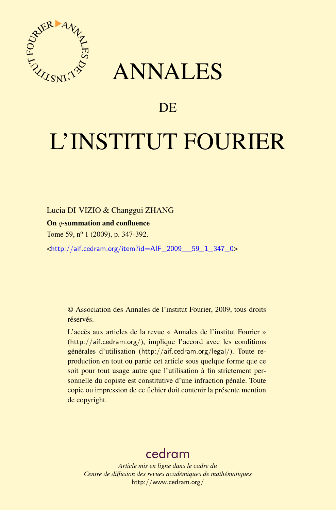

## ANNALES

### **DE**

# L'INSTITUT FOURIER

Lucia DI VIZIO & Changgui ZHANG

On q-summation and confluence

Tome 59, n<sup>o</sup> 1 (2009), p. 347-392.

<[http://aif.cedram.org/item?id=AIF\\_2009\\_\\_59\\_1\\_347\\_0](http://aif.cedram.org/item?id=AIF_2009__59_1_347_0)>

© Association des Annales de l'institut Fourier, 2009, tous droits réservés.

L'accès aux articles de la revue « Annales de l'institut Fourier » (<http://aif.cedram.org/>), implique l'accord avec les conditions générales d'utilisation (<http://aif.cedram.org/legal/>). Toute reproduction en tout ou partie cet article sous quelque forme que ce soit pour tout usage autre que l'utilisation à fin strictement personnelle du copiste est constitutive d'une infraction pénale. Toute copie ou impression de ce fichier doit contenir la présente mention de copyright.

## [cedram](http://www.cedram.org/)

*Article mis en ligne dans le cadre du Centre de diffusion des revues académiques de mathématiques* <http://www.cedram.org/>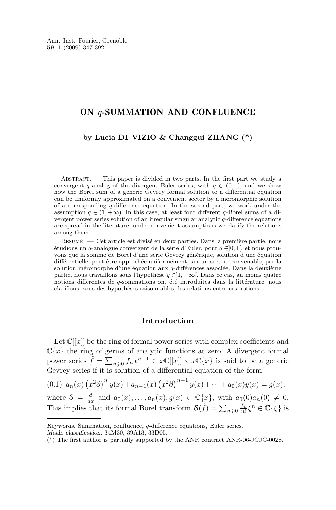#### <span id="page-1-0"></span>ON q-SUMMATION AND CONFLUENCE

#### **by Lucia DI VIZIO & Changgui ZHANG (\*)**

ABSTRACT.  $\overline{ }$  This paper is divided in two parts. In the first part we study a convergent q-analog of the divergent Euler series, with  $q \in (0,1)$ , and we show how the Borel sum of a generic Gevrey formal solution to a differential equation can be uniformly approximated on a convenient sector by a meromorphic solution of a corresponding  $q$ -difference equation. In the second part, we work under the assumption  $q \in (1, +\infty)$ . In this case, at least four different q-Borel sums of a divergent power series solution of an irregular singular analytic q-difference equations are spread in the literature: under convenient assumptions we clarify the relations among them.

Résumé. — Cet article est divisé en deux parties. Dans la première partie, nous étudions un q-analogue convergent de la série d'Euler, pour q ∈]0, 1[, et nous prouvons que la somme de Borel d'une série Gevrey générique, solution d'une équation différentielle, peut être approchée uniformément, sur un secteur convenable, par la solution méromorphe d'une équation aux q-différences associée. Dans la deuxième partie, nous travaillons sous l'hypothèse  $q \in ]1, +\infty[$ . Dans ce cas, au moins quatre notions différentes de q-sommations ont été introduites dans la littérature: nous clarifions, sous des hypothèses raisonnables, les relations entre ces notions.

#### **Introduction**

Let  $\mathbb{C}[[x]]$  be the ring of formal power series with complex coefficients and  $\mathbb{C}\{x\}$  the ring of germs of analytic functions at zero. A divergent formal power series  $\hat{f} = \sum_{n\geqslant 0} f_n x^{n+1} \in x\mathbb{C}[[x]] \setminus x\mathbb{C}\{x\}$  is said to be a generic Gevrey series if it is solution of a differential equation of the form

(0.1)  $a_n(x) (x^2 \partial)^n y(x) + a_{n-1}(x) (x^2 \partial)^{n-1} y(x) + \cdots + a_0(x) y(x) = g(x),$ 

where  $\partial = \frac{d}{dx}$  and  $a_0(x), \ldots, a_n(x), g(x) \in \mathbb{C}\lbrace x \rbrace$ , with  $a_0(0)a_n(0) \neq 0$ . This implies that its formal Borel transform  $\mathcal{B}(\hat{f}) = \sum_{n\geqslant 0} \frac{f_n}{n!} \xi^n \in \mathbb{C}\{\xi\}$  is

*Keywords:* Summation, confluence, q-difference equations, Euler series. *Math. classification:* 34M30, 39A13, 33D05.

<sup>(\*)</sup> The first author is partially supported by the ANR contract ANR-06-JCJC-0028.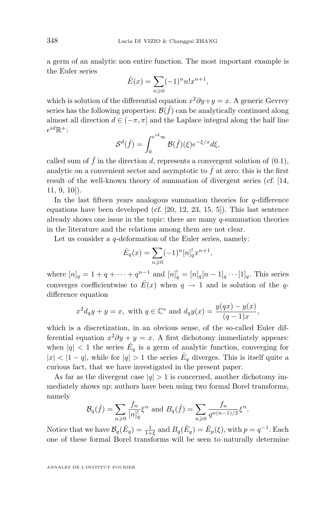a germ of an analytic non entire function. The most important example is the Euler series

$$
\hat{E}(x) = \sum_{n \ge 0} (-1)^n n! x^{n+1},
$$

which is solution of the differential equation  $x^2 \partial y + y = x$ . A generic Gevrey series has the following properties:  $\mathcal{B}(\hat{f})$  can be analytically continued along almost all direction  $d \in (-\pi, \pi]$  and the Laplace integral along the half line  $e^{id}\mathbb{R}^+$ :

$$
S^d(\hat{f}) = \int_0^{e^{id}\infty} \mathcal{B}(\hat{f})(\xi) e^{-\xi/x} d\xi,
$$

called sum of  $\hat{f}$  in the direction d, represents a convergent solution of  $(0.1)$ , analytic on a convenient sector and asymptotic to  $\hat{f}$  at zero: this is the first result of the well-known theory of summation of divergent series (*cf.* [\[14,](#page-45-0) [11,](#page-45-0) [9,](#page-45-0) [10\]](#page-45-0)).

In the last fifteen years analogous summation theories for  $q$ -difference equations have been developed (*cf.* [\[20,](#page-46-0) [12,](#page-45-0) [23,](#page-46-0) [15,](#page-45-0) [5\]](#page-45-0)). This last sentence already shows one issue in the topic: there are many  $q$ -summation theories in the literature and the relations among them are not clear.

Let us consider a  $q$ -deformation of the Euler series, namely:

$$
\hat{E}_q(x) = \sum_{n \ge 0} (-1)^n [n]_q^! x^{n+1},
$$

where  $[n]_q = 1 + q + \cdots + q^{n-1}$  and  $[n]_q^! = [n]_q [n-1]_q \cdots [1]_q$ . This series converges coefficientwise to  $\hat{E}(x)$  when  $q \to 1$  and is solution of the qdifference equation

$$
x^2 d_q y + y = x
$$
, with  $q \in \mathbb{C}^*$  and  $d_q y(x) = \frac{y(qx) - y(x)}{(q-1)x}$ ,

which is a discretization, in an obvious sense, of the so-called Euler differential equation  $x^2 \partial y + y = x$ . A first dichotomy immediately appears: when  $|q| < 1$  the series  $\hat{E}_q$  is a germ of analytic function, converging for  $|x| < |1 - q|$ , while for  $|q| > 1$  the series  $\hat{E}_q$  diverges. This is itself quite a curious fact, that we have investigated in the present paper.

As far as the divergent case  $|q| > 1$  is concerned, another dichotomy immediately shows up: authors have been using two formal Borel transforms, namely

$$
\mathcal{B}_q(\hat{f}) = \sum_{n\geq 0} \frac{f_n}{[n]_q^!} \xi^n \text{ and } B_q(\hat{f}) = \sum_{n\geq 0} \frac{f_n}{q^{n(n-1)/2}} \xi^n.
$$

Notice that we have  $\mathcal{B}_q(\hat{E}_q) = \frac{1}{1+\xi}$  and  $B_q(\hat{E}_q) = \hat{E}_p(\xi)$ , with  $p = q^{-1}$ . Each one of these formal Borel transforms will be seen to naturally determine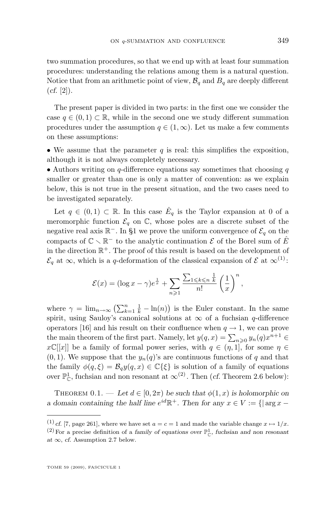<span id="page-3-0"></span>two summation procedures, so that we end up with at least four summation procedures: understanding the relations among them is a natural question. Notice that from an arithmetic point of view,  $\mathcal{B}_q$  and  $B_q$  are deeply different  $(cf. [2])$  $(cf. [2])$  $(cf. [2])$ .

The present paper is divided in two parts: in the first one we consider the case  $q \in (0, 1) \subset \mathbb{R}$ , while in the second one we study different summation procedures under the assumption  $q \in (1,\infty)$ . Let us make a few comments on these assumptions:

• We assume that the parameter  $q$  is real: this simplifies the exposition, although it is not always completely necessary.

• Authors writing on  $q$ -difference equations say sometimes that choosing  $q$ smaller or greater than one is only a matter of convention: as we explain below, this is not true in the present situation, and the two cases need to be investigated separately.

Let  $q \in (0,1) \subset \mathbb{R}$ . In this case  $\hat{E}_q$  is the Taylor expansion at 0 of a meromorphic function  $\mathcal{E}_q$  on  $\mathbb{C}$ , whose poles are a discrete subset of the negative real axis  $\mathbb{R}^+$ . In [§1](#page-7-0) we prove the uniform convergence of  $\mathcal{E}_q$  on the compacts of  $\mathbb{C} \setminus \mathbb{R}^-$  to the analytic continuation  $\mathcal E$  of the Borel sum of  $\hat E$ in the direction  $\mathbb{R}^+$ . The proof of this result is based on the development of  $\mathcal{E}_q$  at  $\infty$ , which is a q-deformation of the classical expansion of  $\mathcal{E}$  at  $\infty^{(1)}$ :

$$
\mathcal{E}(x) = (\log x - \gamma)e^{\frac{1}{x}} + \sum_{n \geqslant 1} \frac{\sum_{1 \leqslant k \leqslant n} \frac{1}{k}}{n!} \left(\frac{1}{x}\right)^n,
$$

where  $\gamma = \lim_{n \to \infty} \left( \sum_{k=1}^n \frac{1}{k} - \ln(n) \right)$  is the Euler constant. In the same spirit, using Sauloy's canonical solutions at  $\infty$  of a fuchsian q-difference operators [\[16\]](#page-45-0) and his result on their confluence when  $q \to 1$ , we can prove the main theorem of the first part. Namely, let  $y(q, x) = \sum_{n \geq 0} y_n(q) x^{n+1} \in$  $x\mathbb{C}[[x]]$  be a family of formal power series, with  $q \in (\eta, 1]$ , for some  $\eta \in$  $(0, 1)$ . We suppose that the  $y_n(q)$ 's are continuous functions of q and that the family  $\phi(q,\xi) = \mathcal{B}_q y(q,x) \in \mathbb{C}\{\xi\}$  is solution of a family of equations over  $\mathbb{P}^1_{\mathbb{C}}$ , fuchsian and non resonant at  $\infty^{(2)}$ . Then (*cf.* Theorem [2.6](#page-15-0) below):

THEOREM  $0.1.$  — Let  $d \in [0, 2\pi)$  be such that  $\phi(1, x)$  is holomorphic on *a* domain containing the half line  $e^{id}\mathbb{R}^+$ . Then for any  $x \in V := \{|\arg x - \pi|^2\}$ 

<sup>&</sup>lt;sup>(1)</sup> *cf.* [\[7,](#page-45-0) page 261], where we have set  $a = c = 1$  and made the variable change  $x \mapsto 1/x$ .

<sup>&</sup>lt;sup>(2)</sup> For a precise definition of a *family of equations over*  $\mathbb{P}^1_{\mathbb{C}}$ , *fuchsian and non resonant*  $at \infty$ , *cf.* Assumption [2.7](#page-15-0) below.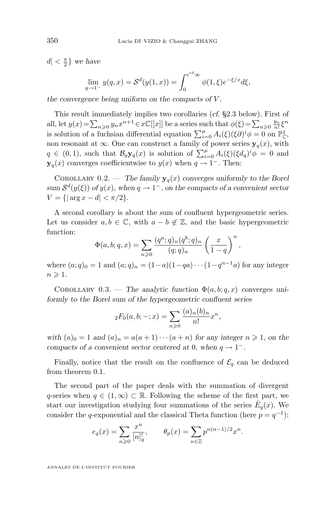$d < \frac{\pi}{2}$  we have

$$
\lim_{q \to 1^{-}} y(q, x) = S^{d}(y(1, x)) = \int_{0}^{e^{id} \infty} \phi(1, \xi) e^{-\xi/x} d\xi,
$$

*the convergence being uniform on the compacts of* V *.*

This result immediately implies two corollaries (*cf.* [§2.3](#page-16-0) below). First of all, let  $y(x) = \sum_{n\geqslant 0} y_n x^{n+1} \in x\mathbb{C}[[x]]$  be a series such that  $\phi(\xi) = \sum_{n\geqslant 0} \frac{y_n}{n!} \xi^n$ is solution of a fuchsian differential equation  $\sum_{i=0}^{\mu} A_i(\xi)(\xi \partial)^i \phi = 0$  on  $\mathbb{P}^1_{\mathbb{C}}$ , non resonant at  $\infty$ . One can construct a family of power series  $y_q(x)$ , with  $q \in (0,1)$ , such that  $\mathcal{B}_q \mathbf{y}_q(x)$  is solution of  $\sum_{i=0}^{\mu} A_i(\xi) (\xi d_q)^i \phi = 0$  and  $y_q(x)$  converges coefficientwise to  $y(x)$  when  $q \to 1^-$ . Then:

COROLLARY 0.2. — The family  $y_q(x)$  converges uniformly to the Borel  $sum S<sup>d</sup>(y(\xi))$  *of*  $y(x)$ *, when*  $q \to 1^-$ *, on the compacts of a convenient sector*  $V = \{|\arg x - d| < \pi/2\}.$ 

A second corollary is about the sum of confluent hypergeometric series. Let us consider  $a, b \in \mathbb{C}$ , with  $a - b \notin \mathbb{Z}$ , and the basic hypergeometric function:

$$
\Phi(a,b;q,x) = \sum_{n\geqslant 0} \frac{(q^a;q)_n (q^b;q)_n}{(q;q)_n} \left(\frac{x}{1-q}\right)^n,
$$

where  $(a;q)_0 = 1$  and  $(a;q)_n = (1-a)(1-qa)\cdots(1-q^{n-1}a)$  for any integer  $n \geqslant 1$ .

COROLLARY  $0.3$ . — The analytic function  $\Phi(a, b; q, x)$  converges uni*formly to the Borel sum of the hypergeometric confluent series*

$$
{}_{2}F_{0}(a,b;-;x) = \sum_{n\geqslant 0} \frac{(a)_{n}(b)_{n}}{n!}x^{n},
$$

with  $(a)_0 = 1$  and  $(a)_n = a(a+1)\cdots(a+n)$  for any integer  $n \geq 1$ , on the *compacts of a convenient sector centered at* 0*, when*  $q \rightarrow 1^-$ *.* 

Finally, notice that the result on the confluence of  $\mathcal{E}_q$  can be deduced from theorem [0.1.](#page-3-0)

The second part of the paper deals with the summation of divergent q-series when  $q \in (1,\infty) \subset \mathbb{R}$ . Following the scheme of the first part, we start our investigation studying four summations of the series  $\hat{E}_q(x)$ . We consider the q-exponential and the classical Theta function (here  $p = q^{-1}$ ):

$$
e_q(x) = \sum_{n \geq 0} \frac{x^n}{[n]_q^n}, \qquad \theta_p(x) = \sum_{n \in \mathbb{Z}} p^{n(n-1)/2} x^n.
$$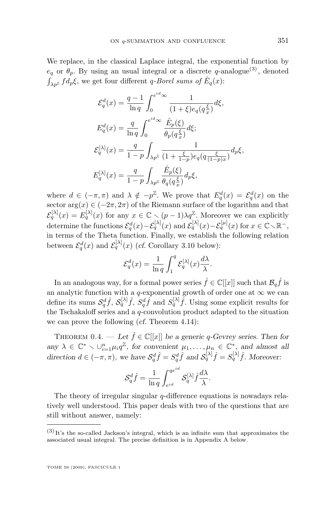We replace, in the classical Laplace integral, the exponential function by  $e_q$  or  $\theta_p$ . By using an usual integral or a discrete q-analogue<sup>(3)</sup>, denoted  $\int_{\lambda p^{\mathbb{Z}}} f d_p \xi$ , we get four different *q-Borel sums of*  $\hat{E}_q(x)$ :

$$
\mathcal{E}_q^d(x) = \frac{q-1}{\ln q} \int_0^{e^{id}\infty} \frac{1}{(1+\xi)e_q(q_x^{\xi})} d\xi,
$$
  
\n
$$
E_q^d(x) = \frac{q}{\ln q} \int_0^{e^{id}\infty} \frac{\hat{E}_p(\xi)}{\theta_p(q_x^{\xi})} d\xi;
$$
  
\n
$$
\mathcal{E}_q^{[\lambda]}(x) = \frac{q}{1-p} \int_{\lambda p^{\mathbb{Z}}} \frac{1}{(1+\frac{\xi}{1-p})e_q(q\frac{\xi}{(1-p)x})} d_p\xi,
$$
  
\n
$$
E_q^{[\lambda]}(x) = \frac{q}{1-p} \int_{\lambda p^{\mathbb{Z}}} \frac{\hat{E}_p(\xi)}{\theta_q(q_x^{\xi})} d_p\xi,
$$

where  $d \in (-\pi, \pi)$  and  $\lambda \notin -p^{\mathbb{Z}}$ . We prove that  $E_q^d(x) = \mathcal{E}_q^d(x)$  on the sector  $\arg(x) \in (-2\pi, 2\pi)$  of the Riemann surface of the logarithm and that  $\mathcal{E}_q^{[\lambda]}(x) = E_q^{[\lambda]}(x)$  for any  $x \in \mathbb{C} \setminus (p-1)\lambda q^{\mathbb{Z}}$ . Moreover we can explicitly determine the functions  $\mathcal{E}_q^d(x) - \mathcal{E}_q^{[\lambda]}(x)$  and  $\mathcal{E}_q^{[\lambda]}(x) - \mathcal{E}_q^{[\mu]}(x)$  for  $x \in \mathbb{C} \setminus \mathbb{R}^-,$ in terms of the Theta function. Finally, we establish the following relation between  $\mathcal{E}_q^d(x)$  and  $\mathcal{E}_q^{[\lambda]}(x)$  (*cf.* Corollary [3.10](#page-32-0) below):

$$
\mathcal{E}_q^d(x)=\frac{1}{\ln q}\int_1^q\mathcal{E}_q^{[\lambda]}(x)\frac{d\lambda}{\lambda}.
$$

In an analogous way, for a formal power series  $\hat{f} \in \mathbb{C}[[x]]$  such that  $\mathcal{B}_q \hat{f}$  is an analytic function with a q-exponential growth of order one at  $\infty$  we can define its sums  $S_q^d \hat{f}$ ,  $S_q^{\lambda} \hat{f}$ ,  $S_q^d \hat{f}$  and  $S_q^{\lambda} \hat{f}$ . Using some explicit results for the Tschakaloff series and a q-convolution product adapted to the situation we can prove the following (*cf.* Theorem [4.14\)](#page-39-0):

THEOREM 0.4. — Let  $\hat{f} \in \mathbb{C}[[x]]$  be a generic q-Gevrey series. Then for any  $\lambda \in \mathbb{C}^* \setminus \cup_{i=1}^n \mu_i q^{\mathbb{Z}}$ , for convenient  $\mu_1, \ldots, \mu_n \in \mathbb{C}^*$ , and almost all direction  $d \in (-\pi, \pi)$ , we have  $S_q^d \hat{f} = S_q^d \hat{f}$  and  $S_q^{[\lambda]} \hat{f} = S_q^{[\lambda]} \hat{f}$ . Moreover:

$$
\mathcal{S}_q^d \hat{f} = \frac{1}{\ln q} \int_{e^{id}}^{q e^{id}} \mathcal{S}_q^{[\lambda]} \hat{f} \frac{d\lambda}{\lambda}.
$$

The theory of irregular singular  $q$ -difference equations is nowadays relatively well understood. This paper deals with two of the questions that are still without answer, namely:

 $(3)$  It's the so-called Jackson's integral, which is an infinite sum that approximates the associated usual integral. The precise definition is in Appendix [A](#page-20-0) below.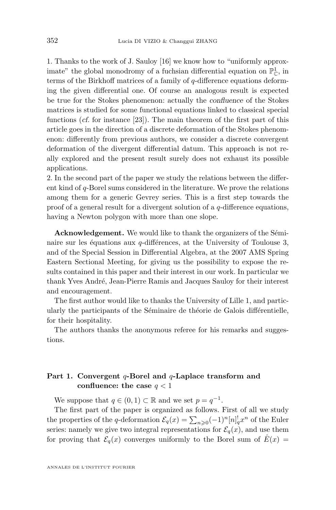1. Thanks to the work of J. Sauloy [\[16\]](#page-45-0) we know how to "uniformly approximate" the global monodromy of a fuchsian differential equation on  $\mathbb{P}^1_{\mathbb{C}}$ , in terms of the Birkhoff matrices of a family of q-difference equations deforming the given differential one. Of course an analogous result is expected be true for the Stokes phenomenon: actually the *confluence* of the Stokes matrices is studied for some functional equations linked to classical special functions (*cf.* for instance [\[23\]](#page-46-0)). The main theorem of the first part of this article goes in the direction of a discrete deformation of the Stokes phenomenon: differently from previous authors, we consider a discrete convergent deformation of the divergent differential datum. This approach is not really explored and the present result surely does not exhaust its possible applications.

2. In the second part of the paper we study the relations between the different kind of q-Borel sums considered in the literature. We prove the relations among them for a generic Gevrey series. This is a first step towards the proof of a general result for a divergent solution of a  $q$ -difference equations, having a Newton polygon with more than one slope.

**Acknowledgement.** We would like to thank the organizers of the Séminaire sur les équations aux  $q$ -différences, at the University of Toulouse 3, and of the Special Session in Differential Algebra, at the 2007 AMS Spring Eastern Sectional Meeting, for giving us the possibility to expose the results contained in this paper and their interest in our work. In particular we thank Yves André, Jean-Pierre Ramis and Jacques Sauloy for their interest and encouragement.

The first author would like to thanks the University of Lille 1, and particularly the participants of the Séminaire de théorie de Galois différentielle, for their hospitality.

The authors thanks the anonymous referee for his remarks and suggestions.

#### **Part 1. Convergent** q**-Borel and** q**-Laplace transform and confluence:** the case  $q < 1$

We suppose that  $q \in (0,1) \subset \mathbb{R}$  and we set  $p = q^{-1}$ .

The first part of the paper is organized as follows. First of all we study the properties of the q-deformation  $\mathcal{E}_q(x) = \sum_{n\geqslant 0} (-1)^n [n]_q^! x^n$  of the Euler series: namely we give two integral representations for  $\mathcal{E}_q(x)$ , and use them for proving that  $\mathcal{E}_q(x)$  converges uniformly to the Borel sum of  $\hat{E}(x)$  =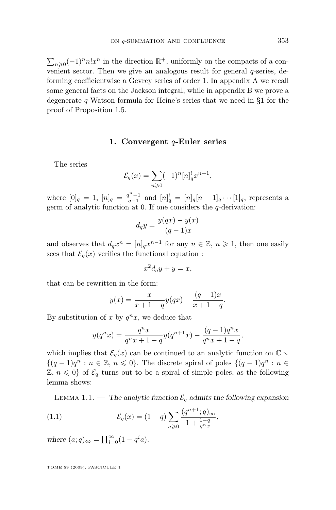<span id="page-7-0"></span> $\sum_{n\geqslant 0} (-1)^n n! x^n$  in the direction ℝ<sup>+</sup>, uniformly on the compacts of a convenient sector. Then we give an analogous result for general q-series, deforming coefficientwise a Gevrey series of order 1. In appendix [A](#page-20-0) we recall some general facts on the Jackson integral, while in appendix [B](#page-21-0) we prove a degenerate q-Watson formula for Heine's series that we need in §1 for the proof of Proposition [1.5.](#page-9-0)

#### **1. Convergent** q**-Euler series**

The series

$$
\mathcal{E}_q(x) = \sum_{n \geq 0} (-1)^n [n]_q^! x^{n+1},
$$

where  $[0]_q = 1$ ,  $[n]_q = \frac{q^n - 1}{q - 1}$  and  $[n]_q^! = [n]_q [n - 1]_q \cdots [1]_q$ , represents a germ of analytic function at 0. If one considers the  $q$ -derivation:

$$
d_q y = \frac{y(qx) - y(x)}{(q-1)x}
$$

and observes that  $d_q x^n = [n]_q x^{n-1}$  for any  $n \in \mathbb{Z}$ ,  $n \geq 1$ , then one easily sees that  $\mathcal{E}_q(x)$  verifies the functional equation :

 $x^2d_qy + y = x,$ 

that can be rewritten in the form:

$$
y(x) = \frac{x}{x+1-q}y(qx) - \frac{(q-1)x}{x+1-q}.
$$

By substitution of x by  $q^n x$ , we deduce that

$$
y(q^n x) = \frac{q^n x}{q^n x + 1 - q} y(q^{n+1} x) - \frac{(q-1)q^n x}{q^n x + 1 - q},
$$

which implies that  $\mathcal{E}_q(x)$  can be continued to an analytic function on  $\mathbb{C} \setminus$  ${(q-1)q^n : n \in \mathbb{Z}, n \leq 0}.$  The discrete spiral of poles  ${(q-1)q^n : n \in \mathbb{Z} \setminus \{n \leq 0\}}$  $\mathbb{Z}, n \leq 0$  of  $\mathcal{E}_q$  turns out to be a spiral of simple poles, as the following lemma shows:

LEMMA 1.1. — The analytic function  $\mathcal{E}_q$  admits the following expansion

(1.1) 
$$
\mathcal{E}_q(x) = (1-q) \sum_{n \geqslant 0} \frac{(q^{n+1}; q)_{\infty}}{1 + \frac{1-q}{q^n x}},
$$

*where*  $(a; q)_{\infty} = \prod_{i=0}^{\infty} (1 - q^i a)$ *.*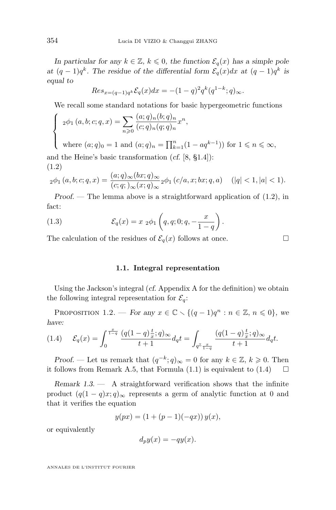<span id="page-8-0"></span>*In particular for any*  $k \in \mathbb{Z}$ ,  $k \leq 0$ , the function  $\mathcal{E}_q(x)$  has a simple pole *at*  $(q-1)q^k$ . The residue of the differential form  $\mathcal{E}_q(x)dx$  at  $(q-1)q^k$  is *equal to*

$$
Res_{x=(q-1)q^k} \mathcal{E}_q(x) dx = -(1-q)^2 q^k (q^{1-k}; q)_{\infty}.
$$

We recall some standard notations for basic hypergeometric functions

$$
\begin{cases}\n2\phi_1(a,b;c;q,x) = \sum_{n\geqslant 0} \frac{(a;q)_n(b;q)_n}{(c;q)_n(q;q)_n} x^n,\n\end{cases}
$$

 $\overline{\mathcal{L}}$ where  $(a;q)_0 = 1$  and  $(a;q)_n = \prod_{k=1}^n (1 - aq^{k-1})$  for  $1 \leq n \leq \infty$ ,

and the Heine's basic transformation (*cf.* [\[8,](#page-45-0) §1.4]): (1.2)

$$
{}_2\phi_1(a,b;c;q,x) = \frac{(a;q)_{\infty}(bx;q)_{\infty}}{(c;q;)_\infty(x;q)_{\infty}} {}_2\phi_1(c/a,x;bx;q,a) \quad (|q| < 1, |a| < 1).
$$

*Proof.* — The lemma above is a straightforward application of  $(1.2)$ , in fact:

(1.3) 
$$
\mathcal{E}_q(x) = x_2 \phi_1 \left( q, q; 0; q, -\frac{x}{1-q} \right).
$$

The calculation of the residues of  $\mathcal{E}_q(x)$  follows at once.

**1.1. Integral representation**

Using the Jackson's integral (*cf.* Appendix [A](#page-20-0) for the definition) we obtain the following integral representation for  $\mathcal{E}_q$ :

PROPOSITION 1.2. — *For any*  $x \in \mathbb{C} \setminus \{(q-1)q^n : n \in \mathbb{Z}, n \leq 0\}$ , we *have:*

$$
(1.4) \quad \mathcal{E}_q(x) = \int_0^{\frac{x}{1-q}} \frac{(q(1-q)\frac{t}{x};q)_{\infty}}{t+1} dq t = \int_{q^{\mathbb{Z}} \frac{x}{1-q}} \frac{(q(1-q)\frac{t}{x};q)_{\infty}}{t+1} dq t.
$$

*Proof.* — Let us remark that  $(q^{-k}; q)_{\infty} = 0$  for any  $k \in \mathbb{Z}$ ,  $k \geq 0$ . Then it follows from Remark [A.5,](#page-20-0) that Formula  $(1.1)$  is equivalent to  $(1.4)$ 

*Remark 1.3. —* A straightforward verification shows that the infinite product  $(q(1-q)x;q)_{\infty}$  represents a germ of analytic function at 0 and that it verifies the equation

$$
y(px) = (1 + (p - 1)(-qx)) y(x),
$$

or equivalently

$$
d_p y(x) = -qy(x).
$$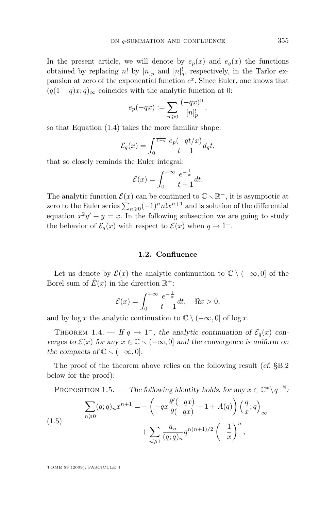<span id="page-9-0"></span>In the present article, we will denote by  $e_p(x)$  and  $e_q(x)$  the functions obtained by replacing n! by  $[n]_p^!$  and  $[n]_q^!$ , respectively, in the Tarlor expansion at zero of the exponential function  $e^x$ . Since Euler, one knows that  $(q(1 - q)x; q)_{\infty}$  coincides with the analytic function at 0:

$$
e_p(-qx):=\sum_{n\geqslant 0}\frac{(-qx)^n}{[n]_p^!},
$$

so that Equation [\(1.4\)](#page-8-0) takes the more familiar shape:

$$
\mathcal{E}_q(x)=\int_0^{\frac{x}{1-q}}\frac{e_p(-qt/x)}{t+1}d_qt,
$$

that so closely reminds the Euler integral:

$$
\mathcal{E}(x) = \int_0^{+\infty} \frac{e^{-\frac{t}{x}}}{t+1} dt.
$$

The analytic function  $\mathcal{E}(x)$  can be continued to  $\mathbb{C} \setminus \mathbb{R}^-$ , it is asymptotic at zero to the Euler series  $\sum_{n\geqslant 0}(-1)^nn!x^{n+1}$  and is solution of the differential equation  $x^2y' + y = x$ . In the following subsection we are going to study the behavior of  $\mathcal{E}_q(x)$  with respect to  $\mathcal{E}(x)$  when  $q \to 1^-$ .

#### **1.2. Confluence**

Let us denote by  $\mathcal{E}(x)$  the analytic continuation to  $\mathbb{C} \setminus (-\infty, 0]$  of the Borel sum of  $\hat{E}(x)$  in the direction  $\mathbb{R}^+$ :

$$
\mathcal{E}(x) = \int_0^{+\infty} \frac{e^{-\frac{t}{x}}}{t+1} dt, \quad \Re x > 0,
$$

and by  $\log x$  the analytic continuation to  $\mathbb{C} \setminus (-\infty, 0]$  of  $\log x$ .

THEOREM 1.4. — If  $q \to 1^-$ , the analytic continuation of  $\mathcal{E}_q(x)$  con*verges to*  $\mathcal{E}(x)$  *for any*  $x \in \mathbb{C} \setminus (-\infty, 0]$  *and the convergence is uniform on the compacts of*  $\mathbb{C} \setminus (-\infty, 0]$ *.* 

The proof of the theorem above relies on the following result (*cf.* [§B.2](#page-27-0) below for the proof):

PROPOSITION 1.5. — The following identity holds, for any 
$$
x \in \mathbb{C}^* \setminus q^{-\mathbb{N}}
$$
:  
\n
$$
\sum_{n\geqslant 0} (q;q)_n x^{n+1} = -\left(-qx \frac{\theta'(-qx)}{\theta(-qx)} + 1 + A(q)\right) \left(\frac{q}{x};q\right)_{\infty}
$$
\n
$$
+ \sum_{n\geqslant 1} \frac{a_n}{(q;q)_n} q^{n(n+1)/2} \left(-\frac{1}{x}\right)^n,
$$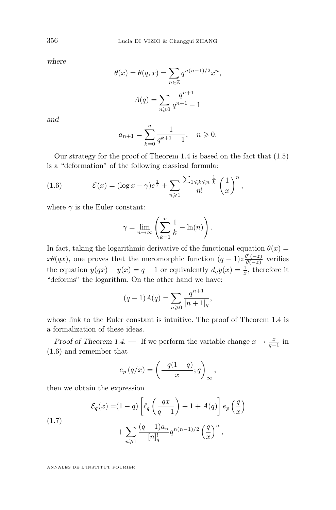*where*

$$
\theta(x) = \theta(q, x) = \sum_{n \in \mathbb{Z}} q^{n(n-1)/2} x^n,
$$

$$
A(q) = \sum_{n \geq 0} \frac{q^{n+1}}{q^{n+1} - 1}
$$

*and*

$$
a_{n+1} = \sum_{k=0}^{n} \frac{1}{q^{k+1} - 1}, \quad n \geqslant 0.
$$

Our strategy for the proof of Theorem [1.4](#page-9-0) is based on the fact that [\(1.5\)](#page-9-0) is a "deformation" of the following classical formula:

(1.6) 
$$
\mathcal{E}(x) = (\log x - \gamma)e^{\frac{1}{x}} + \sum_{n \geqslant 1} \frac{\sum_{1 \leqslant k \leqslant n} \frac{1}{k}}{n!} \left(\frac{1}{x}\right)^n,
$$

where  $\gamma$  is the Euler constant:

$$
\gamma = \lim_{n \to \infty} \left( \sum_{k=1}^{n} \frac{1}{k} - \ln(n) \right).
$$

In fact, taking the logarithmic derivative of the functional equation  $\theta(x)$  =  $x\theta(qx)$ , one proves that the meromorphic function  $(q-1)z\frac{\theta'(-z)}{\theta(-z)}$  $\frac{\theta(-z)}{\theta(-z)}$  verifies the equation  $y(qx) - y(x) = q - 1$  or equivalently  $d_q y(x) = \frac{1}{x}$ , therefore it "deforms" the logarithm. On the other hand we have:

$$
(q-1)A(q) = \sum_{n\geqslant 0} \frac{q^{n+1}}{[n+1]_q},
$$

whose link to the Euler constant is intuitive. The proof of Theorem [1.4](#page-9-0) is a formalization of these ideas.

*Proof of Theorem [1.4.](#page-9-0)* — If we perform the variable change  $x \to \frac{x}{q-1}$  in (1.6) and remember that

$$
e_p(q/x) = \left(\frac{-q(1-q)}{x};q\right)_{\infty},
$$

then we obtain the expression

(1.7)  

$$
\mathcal{E}_q(x) = (1-q) \left[ \ell_q \left( \frac{qx}{q-1} \right) + 1 + A(q) \right] e_p \left( \frac{q}{x} \right)
$$

$$
+ \sum_{n \geqslant 1} \frac{(q-1)a_n}{[n]_q} q^{n(n-1)/2} \left( \frac{q}{x} \right)^n,
$$

<span id="page-10-0"></span>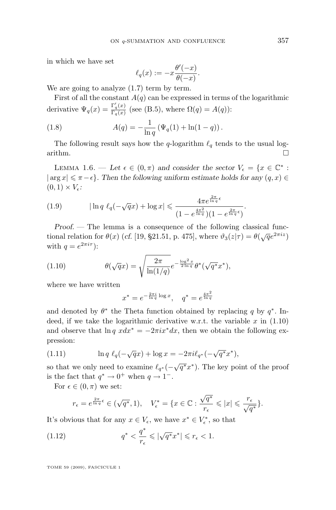<span id="page-11-0"></span>in which we have set

$$
\ell_q(x) := -x \frac{\theta'(-x)}{\theta(-x)}.
$$

We are going to analyze  $(1.7)$  term by term.

First of all the constant  $A(q)$  can be expressed in terms of the logarithmic derivative  $\Psi_q(x) = \frac{\Gamma_q'(x)}{\Gamma_q(x)}$  $\frac{\Gamma_q(x)}{\Gamma_q(x)}$  (see [\(B.5\)](#page-22-0), where  $\Omega(q) = A(q)$ ):

(1.8) 
$$
A(q) = -\frac{1}{\ln q} \left( \Psi_q(1) + \ln(1-q) \right).
$$

The following result says how the q-logarithm  $\ell_q$  tends to the usual logarithm.  $\Box$ 

LEMMA 1.6. — Let  $\epsilon \in (0, \pi)$  and consider the sector  $V_{\epsilon} = \{x \in \mathbb{C}^* :$  $|\arg x| \leq \pi - \epsilon$ *. Then the following uniform estimate holds for any*  $(q, x) \in$  $(0, 1) \times V_{\epsilon}$ 

(1.9) 
$$
|\ln q \ell_q(-\sqrt{q}x) + \log x| \leq \frac{4\pi e^{\frac{2\pi}{\ln q} \epsilon}}{(1 - e^{\frac{4\pi^2}{\ln q}})(1 - e^{\frac{2\pi}{\ln q} \epsilon})}.
$$

*Proof. —* The lemma is a consequence of the following classical functional relation for  $\theta(x)$  (*cf.* [\[19,](#page-46-0) §21.51, p. 475], where  $\vartheta_3(z|\tau) = \theta(\sqrt{q}e^{2\pi i z})$ with  $q = e^{2\pi i \tau}$ :

(1.10) 
$$
\theta(\sqrt{q}x) = \sqrt{\frac{2\pi}{\ln(1/q)}}e^{-\frac{\log^2 x}{2\ln q}}\theta^*(\sqrt{q^*}x^*),
$$

where we have written

$$
x^* = e^{-\frac{2\pi i}{\ln q} \log x}, \quad q^* = e^{\frac{4\pi^2}{\ln q}}
$$

and denoted by  $\theta^*$  the Theta function obtained by replacing q by  $q^*$ . Indeed, if we take the logarithmic derivative w.r.t. the variable  $x$  in  $(1.10)$ and observe that  $\ln q$   $xdx^* = -2\pi ix^*dx$ , then we obtain the following expression:

(1.11) 
$$
\ln q \ell_q(-\sqrt{q}x) + \log x = -2\pi i \ell_{q^*}(-\sqrt{q^*}x^*),
$$

so that we only need to examine  $\ell_{q^*}(-\sqrt{q^*}x^*)$ . The key point of the proof is the fact that  $q^* \to 0^+$  when  $q \to 1^-$ .

For  $\epsilon \in (0, \pi)$  we set:

$$
r_{\epsilon} = e^{\frac{2\pi}{\ln q}\epsilon} \in (\sqrt{q^*}, 1), \quad V_{\epsilon}^* = \{x \in \mathbb{C} : \frac{\sqrt{q^*}}{r_{\epsilon}} \leqslant |x| \leqslant \frac{r_{\epsilon}}{\sqrt{q^*}}\}.
$$

It's obvious that for any  $x \in V_{\epsilon}$ , we have  $x^* \in V_{\epsilon}^*$ , so that

(1.12) 
$$
q^* < \frac{q^*}{r_{\epsilon}} \leqslant |\sqrt{q^*}x^*| \leqslant r_{\epsilon} < 1.
$$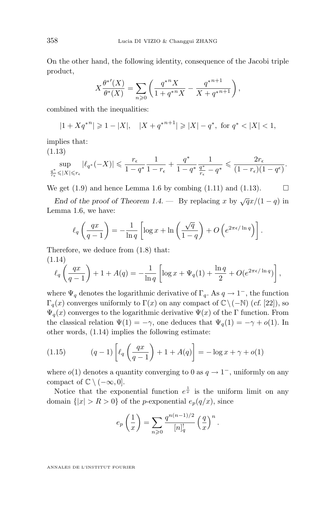<span id="page-12-0"></span>On the other hand, the following identity, consequence of the Jacobi triple product,

$$
X\frac{\theta^{*'}(X)}{\theta^{*}(X)} = \sum_{n\geqslant 0} \left( \frac{q^{*n}X}{1 + q^{*n}X} - \frac{q^{*n+1}}{X + q^{*n+1}} \right),
$$

combined with the inequalities:

$$
|1+Xq^{*n}| \geq 1-|X|, \quad |X+q^{*n+1}| \geq |X|-q^*, \text{ for } q^* < |X| < 1,
$$

implies that:

(1.13)

$$
\sup_{\frac{q^*}{r_\epsilon} \leqslant |X| \leqslant r_\epsilon} |\ell_{q^*}(-X)| \leqslant \frac{r_\epsilon}{1-q^*} \frac{1}{1-r_\epsilon} + \frac{q^*}{1-q^*} \frac{1}{\frac{q^*}{r_\epsilon}-q^*} \leqslant \frac{2r_\epsilon}{(1-r_\epsilon)(1-q^\epsilon)}.
$$

We get  $(1.9)$  and hence Lemma [1.6](#page-11-0) by combing  $(1.11)$  and  $(1.13)$ .

*End of the proof of Theorem* [1.4.](#page-9-0) — By replacing x by  $\sqrt{q}x/(1-q)$  in Lemma [1.6,](#page-11-0) we have:

$$
\ell_q\left(\frac{qx}{q-1}\right) = -\frac{1}{\ln q} \left[ \log x + \ln\left(\frac{\sqrt{q}}{1-q}\right) + O\left(e^{2\pi\epsilon/\ln q}\right) \right].
$$

Therefore, we deduce from [\(1.8\)](#page-11-0) that: (1.14)

$$
\ell_q \left( \frac{qx}{q-1} \right) + 1 + A(q) = -\frac{1}{\ln q} \left[ \log x + \Psi_q(1) + \frac{\ln q}{2} + O(e^{2\pi \epsilon / \ln q}) \right],
$$

where  $\Psi_q$  denotes the logarithmic derivative of  $\Gamma_q$ . As  $q \to 1^-$ , the function Γq(x) converges uniformly to Γ(x) on any compact of C\(−N) (*cf.* [\[22\]](#page-46-0)), so  $\Psi_q(x)$  converges to the logarithmic derivative  $\Psi(x)$  of the Γ function. From the classical relation  $\Psi(1) = -\gamma$ , one deduces that  $\Psi_q(1) = -\gamma + o(1)$ . In other words, (1.14) implies the following estimate:

(1.15) 
$$
(q-1)\left[\ell_q\left(\frac{qx}{q-1}\right) + 1 + A(q)\right] = -\log x + \gamma + o(1)
$$

where  $o(1)$  denotes a quantity converging to 0 as  $q \to 1^-$ , uniformly on any compact of  $\mathbb{C} \setminus (-\infty, 0]$ .

Notice that the exponential function  $e^{\frac{1}{x}}$  is the uniform limit on any domain  $\{|x| > R > 0\}$  of the *p*-exponential  $e_p(q/x)$ , since

$$
e_p\left(\frac{1}{x}\right) = \sum_{n\geqslant 0} \frac{q^{n(n-1)/2}}{[n]_q^!} \left(\frac{q}{x}\right)^n.
$$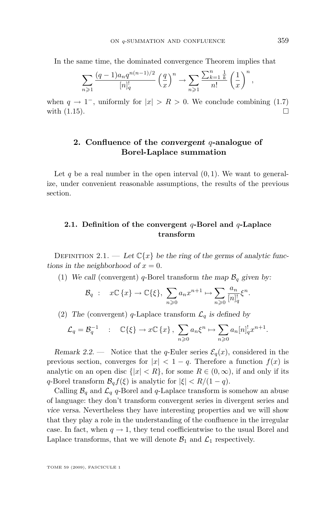In the same time, the dominated convergence Theorem implies that

$$
\sum_{n\geqslant 1} \frac{(q-1)a_n q^{n(n-1)/2}}{[n]_q^!} \left(\frac{q}{x}\right)^n \to \sum_{n\geqslant 1} \frac{\sum_{k=1}^n \frac{1}{k}}{n!} \left(\frac{1}{x}\right)^n
$$

when  $q \to 1^-$ , uniformly for  $|x| > R > 0$ . We conclude combining [\(1.7\)](#page-10-0) with  $(1.15)$ .

#### **2. Confluence of the** *convergent* q**-analogue of Borel-Laplace summation**

Let q be a real number in the open interval  $(0, 1)$ . We want to generalize, under convenient reasonable assumptions, the results of the previous section.

#### **2.1. Definition of the convergent** q**-Borel and** q**-Laplace transform**

DEFINITION 2.1. — Let  $\mathbb{C}\lbrace x \rbrace$  be the ring of the germs of analytic func*tions in the neighborhood of*  $x = 0$ *.* 

(1) We call (convergent) q-Borel transform the map  $\mathcal{B}_q$  given by:

$$
\mathcal{B}_q : x \in \{x\} \to \mathbb{C}\{\xi\}, \ \sum_{n\geqslant 0} a_n x^{n+1} \mapsto \sum_{n\geqslant 0} \frac{a_n}{[n]_q^!} \xi^n.
$$

(2) The (convergent) q-Laplace transform  $\mathcal{L}_q$  is defined by

$$
\mathcal{L}_q = \mathcal{B}_q^{-1} \quad : \quad \mathbb{C}\{\xi\} \to x\mathbb{C}\{x\} \,, \sum_{n\geqslant 0} a_n \xi^n \mapsto \sum_{n\geqslant 0} a_n [n]_q^! x^{n+1}.
$$

*Remark 2.2.* — Notice that the q-Euler series  $\mathcal{E}_q(x)$ , considered in the previous section, converges for  $|x| < 1 - q$ . Therefore a function  $f(x)$  is analytic on an open disc  $\{|x| < R\}$ , for some  $R \in (0, \infty)$ , if and only if its q-Borel transform  $\mathcal{B}_q f(\xi)$  is analytic for  $|\xi| < R/(1-q)$ .

Calling  $\mathcal{B}_q$  and  $\mathcal{L}_q$  q-Borel and q-Laplace transform is somehow an abuse of language: they don't transform convergent series in divergent series and *vice versa*. Nevertheless they have interesting properties and we will show that they play a role in the understanding of the confluence in the irregular case. In fact, when  $q \to 1$ , they tend coefficientwise to the usual Borel and Laplace transforms, that we will denote  $\mathcal{B}_1$  and  $\mathcal{L}_1$  respectively.

TOME 59 (2009), FASCICULE 1

,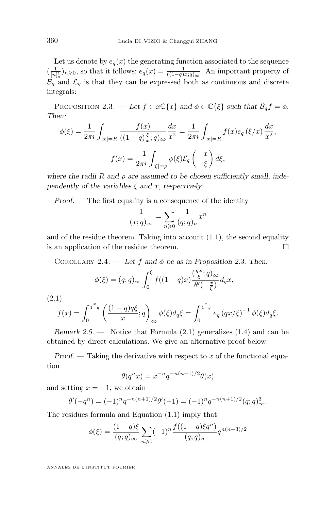<span id="page-14-0"></span>Let us denote by  $e_q(x)$  the generating function associated to the sequence  $(\frac{1}{[n]_q^1})_{n\geqslant 0}$ , so that it follows:  $e_q(x) = \frac{1}{((1-q)x;q)_{\infty}}$ . An important property of  $\mathcal{B}_{q}$  and  $\mathcal{L}_{q}$  is that they can be expressed both as continuous and discrete integrals:

PROPOSITION 2.3. — Let  $f \in x\mathbb{C}\lbrace x \rbrace$  and  $\phi \in \mathbb{C}\lbrace \xi \rbrace$  such that  $\mathcal{B}_q f = \phi$ . *Then:*

$$
\phi(\xi) = \frac{1}{2\pi i} \int_{|x|=R} \frac{f(x)}{((1-q)\frac{\xi}{x};q)_{\infty}} \frac{dx}{x^2} = \frac{1}{2\pi i} \int_{|x|=R} f(x)e_q(\xi/x) \frac{dx}{x^2},
$$

$$
f(x) = \frac{-1}{2\pi i} \int_{|\xi|=\rho} \phi(\xi) \mathcal{E}_q(-\frac{x}{\xi}) d\xi,
$$

where the radii R and  $\rho$  are assumed to be chosen sufficiently small, inde*pendently of the variables*  $\xi$  *and x, respectively.* 

*Proof. —* The first equality is a consequence of the identity

$$
\frac{1}{(x;q)_{\infty}} = \sum_{n\geqslant 0} \frac{1}{(q;q)_n} x^n
$$

and of the residue theorem. Taking into account  $(1.1)$ , the second equality is an application of the residue theorem.

COROLLARY 2.4. — Let f and  $\phi$  be as in Proposition 2.3. Then:

$$
\phi(\xi) = (q;q)_{\infty} \int_0^{\xi} f((1-q)x) \frac{(\frac{qx}{\xi};q)_{\infty}}{\theta'(-\frac{x}{\xi})} d_q x,
$$

(2.1)

$$
f(x) = \int_0^{\frac{x}{1-q}} \left( \frac{(1-q)q\xi}{x}; q \right)_{\infty} \phi(\xi) d_q \xi = \int_0^{\frac{x}{1-q}} e_q (qx/\xi)^{-1} \phi(\xi) d_q \xi.
$$

*Remark 2.5. —* Notice that Formula (2.1) generalizes [\(1.4\)](#page-8-0) and can be obtained by direct calculations. We give an alternative proof below.

*Proof.* — Taking the derivative with respect to x of the functional equation

$$
\theta(q^n x) = x^{-n} q^{-n(n-1)/2} \theta(x)
$$

and setting  $x = -1$ , we obtain

$$
\theta'(-q^n) = (-1)^n q^{-n(n+1)/2} \theta'(-1) = (-1)^n q^{-n(n+1)/2} (q;q)_\infty^3.
$$

The residues formula and Equation [\(1.1\)](#page-7-0) imply that

$$
\phi(\xi) = \frac{(1-q)\xi}{(q;q)_{\infty}} \sum_{n\geq 0} (-1)^n \frac{f((1-q)\xi q^n)}{(q;q)_n} q^{n(n+3)/2}
$$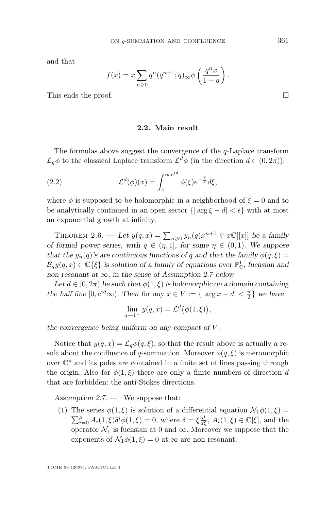<span id="page-15-0"></span>and that

$$
f(x) = x \sum_{n \geqslant 0} q^n (q^{n+1}; q)_{\infty} \phi \left( \frac{q^n x}{1 - q} \right).
$$

This ends the proof.

#### **2.2. Main result**

The formulas above suggest the convergence of the q-Laplace transform  $\mathcal{L}_q\phi$  to the classical Laplace transform  $\mathcal{L}^d\phi$  (in the direction  $d \in (0, 2\pi)$ ):

(2.2) 
$$
\mathcal{L}^d(\phi)(x) = \int_0^{\infty e^{id}} \phi(\xi) e^{-\frac{\xi}{x}} d\xi,
$$

where  $\phi$  is supposed to be holomorphic in a neighborhood of  $\xi = 0$  and to be analytically continued in an open sector  $\{|\arg \xi - d| < \epsilon\}$  with at most an exponential growth at infinity.

THEOREM 2.6. — Let  $y(q, x) = \sum_{n \geq 0} y_n(q) x^{n+1} \in x\mathbb{C}[[x]]$  be a family *of formal power series, with*  $q \in (\eta, 1]$ *, for some*  $\eta \in (0, 1)$ *. We suppose that the*  $y_n(q)$ *'s are continuous functions of q and that the family*  $\phi(q,\xi)$  =  $\mathcal{B}_q y(q, x) \in \mathbb{C}\{\xi\}$  is solution of a family of equations over  $\mathbb{P}^1_{\mathbb{C}}$ , fuchsian and *non resonant at*  $\infty$ *, in the sense of Assumption 2.7 below.* 

Let  $d \in [0, 2\pi)$  *be such that*  $\phi(1, \xi)$  *is holomorphic on a domain containing the half line*  $[0, e^{id} \infty)$ *. Then for any*  $x \in V := \{|\arg x - d| < \frac{\pi}{2}\}$  we have

$$
\lim_{q \to 1^-} y(q, x) = \mathcal{L}^d(\phi(1, \xi)),
$$

*the convergence being uniform on any compact of* V *.*

Notice that  $y(q, x) = \mathcal{L}_q \phi(q, \xi)$ , so that the result above is actually a result about the confluence of q-summation. Moreover  $\phi(q,\xi)$  is meromorphic over C <sup>∗</sup> and its poles are contained in a finite set of lines passing through the origin. Also for  $\phi(1,\xi)$  there are only a finite numbers of direction d that are forbidden: the anti-Stokes directions.

*Assumption 2.7. —* We suppose that:

(1) The series  $\phi(1,\xi)$  is solution of a differential equation  $\mathcal{N}_1\phi(1,\xi)$  =  $\sum_{i=0}^{\mu} A_i(1,\xi) \delta^i \phi(1,\xi) = 0$ , where  $\delta = \xi \frac{d}{d\xi}$ ,  $A_i(1,\xi) \in \mathbb{C}[\xi]$ , and the operator  $\mathcal{N}_1$  is fuchsian at 0 and  $\infty$ . Moreover we suppose that the exponents of  $\mathcal{N}_1\phi(1,\xi)=0$  at  $\infty$  are non resonant.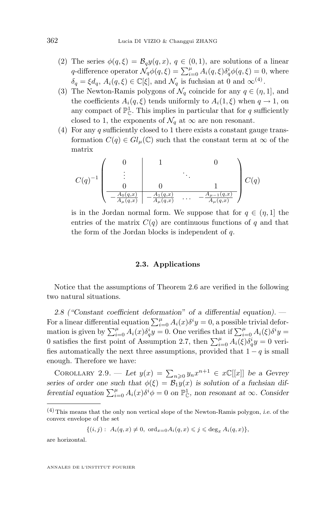- <span id="page-16-0"></span>(2) The series  $\phi(q,\xi) = \mathcal{B}_q y(q,x), q \in (0,1)$ , are solutions of a linear q-difference operator  $\mathcal{N}_q\phi(q,\xi) = \sum_{i=0}^{\mu} A_i(q,\xi) \delta_q^i \phi(q,\xi) = 0$ , where  $\delta_q = \xi d_q, A_i(q,\xi) \in \mathbb{C}[\xi],$  and  $\mathcal{N}_q$  is fuchsian at 0 and  $\infty^{(4)}$ .
- (3) The Newton-Ramis polygons of  $\mathcal{N}_q$  coincide for any  $q \in (\eta, 1]$ , and the coefficients  $A_i(q,\xi)$  tends uniformly to  $A_i(1,\xi)$  when  $q \to 1$ , on any compact of  $\mathbb{P}^1_{\mathbb{C}}$ . This implies in particular that for q sufficiently closed to 1, the exponents of  $\mathcal{N}_q$  at  $\infty$  are non resonant.
- (4) For any q sufficiently closed to 1 there exists a constant gauge transformation  $C(q) \in Gl_u(\mathbb{C})$  such that the constant term at  $\infty$  of the matrix

$$
C(q)^{-1} \begin{pmatrix} 0 & 1 & 0 \\ \vdots & \vdots & \ddots & \vdots \\ 0 & 0 & 1 \\ \hline -\frac{A_0(q,x)}{A_\mu(q,x)} & -\frac{A_1(q,x)}{A_\mu(q,x)} & \cdots & -\frac{A_{\mu-1}(q,x)}{A_{\mu}(q,x)} \end{pmatrix} C(q)
$$

is in the Jordan normal form. We suppose that for  $q \in (\eta, 1]$  the entries of the matrix  $C(q)$  are continuous functions of q and that the form of the Jordan blocks is independent of  $q$ .

#### **2.3. Applications**

Notice that the assumptions of Theorem [2.6](#page-15-0) are verified in the following two natural situations.

*2.8 ("Constant coefficient deformation" of a differential equation). —* For a linear differential equation  $\sum_{i=0}^{\mu} A_i(x) \delta^i y = 0$ , a possible trivial deformation is given by  $\sum_{i=0}^{\mu} A_i(x) \delta_q^i y = 0$ . One verifies that if  $\sum_{i=0}^{\mu} A_i(\xi) \delta^i y = 0$ 0 satisfies the first point of Assumption [2.7,](#page-15-0) then  $\sum_{i=0}^{\mu} A_i(\xi) \delta_q^i y = 0$  verifies automatically the next three assumptions, provided that  $1 - q$  is small enough. Therefore we have:

COROLLARY 2.9. — Let  $y(x) = \sum_{n\geqslant 0} y_n x^{n+1} \in x\mathbb{C}[[x]]$  be a Gevrey series of order one such that  $\phi(\xi) = \mathcal{B}_1 y(x)$  is solution of a fuchsian dif*ferential equation*  $\sum_{i=0}^{\mu} A_i(x) \delta^i \phi = 0$  *on*  $\mathbb{P}_{\mathbb{C}}^1$ *, non resonant at*  $\infty$ *. Consider* 

 $\{(i, j): A_i(q, x) \neq 0, \text{ ord}_{x=0}A_i(q, x) \leq j \leq \text{deg}_x A_i(q, x)\},$ 

are horizontal.

 $(4)$  This means that the only non vertical slope of the Newton-Ramis polygon, *i.e.* of the convex envelope of the set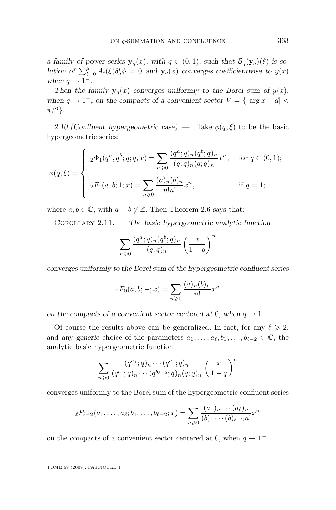*a family of power series*  $y_q(x)$ *, with*  $q \in (0,1)$ *, such that*  $\mathcal{B}_q(y_q)(\xi)$  *is solution of*  $\sum_{i=0}^{\mu} A_i(\xi) \delta_q^i \phi = 0$  *and*  $\mathbf{y}_q(x)$  *converges coefficientwise to*  $y(x)$ when  $q \rightarrow 1^-$ .

*Then the family*  $y_q(x)$  *converges uniformly to the Borel sum of*  $y(x)$ *, when*  $q \to 1^-$ *, on the compacts of a convenient sector*  $V = \{|\arg x - d| <$  $\pi/2$ .

2.10 (Confluent hypergeometric case). — Take  $\phi(q,\xi)$  to be the basic hypergeometric series:

$$
\phi(q,\xi) = \begin{cases}\n\ _{2}\Phi_{1}(q^{a}, q^{b}; q; q, x) = \sum_{n \geq 0} \frac{(q^{a}; q)_{n}(q^{b}; q)_{n}}{(q; q)_{n}(q; q)_{n}} x^{n}, & \text{for } q \in (0, 1); \\
\ _{2}F_{1}(a, b; 1; x) = \sum_{n \geq 0} \frac{(a)_{n}(b)_{n}}{n!n!} x^{n}, & \text{if } q = 1;\n\end{cases}
$$

where  $a, b \in \mathbb{C}$ , with  $a - b \notin \mathbb{Z}$ . Then Theorem [2.6](#page-15-0) says that:

Corollary 2.11. — *The basic hypergeometric analytic function*

$$
\sum_{n\geqslant 0} \frac{(q^a;q)_n (q^b;q)_n}{(q;q)_n} \left(\frac{x}{1-q}\right)^n
$$

*converges uniformly to the Borel sum of the hypergeometric confluent series*

$$
{}_2F_0(a, b; -; x) = \sum_{n \geq 0} \frac{(a)_n (b)_n}{n!} x^n
$$

*on the compacts of a convenient sector centered at* 0*, when*  $q \rightarrow 1^-$ *.* 

Of course the results above can be generalized. In fact, for any  $\ell \geq 2$ , and any *generic* choice of the parameters  $a_1, \ldots, a_\ell, b_1, \ldots, b_{\ell-2} \in \mathbb{C}$ , the analytic basic hypergeometric function

$$
\sum_{n\geqslant 0} \frac{(q^{a_1};q)_n\cdots(q^{a_\ell};q)_n}{(q^{b_1};q)_n\cdots(q^{b_\ell-2};q)_n(q;q)_n} \left(\frac{x}{1-q}\right)^n
$$

converges uniformly to the Borel sum of the hypergeometric confluent series

$$
{}_{\ell}F_{\ell-2}(a_1,\ldots,a_{\ell};b_1,\ldots,b_{\ell-2};x) = \sum_{n\geqslant 0} \frac{(a_1)_n\cdots(a_{\ell})_n}{(b)_1\cdots(b)_{\ell-2}n!} x^n
$$

on the compacts of a convenient sector centered at 0, when  $q \to 1^-$ .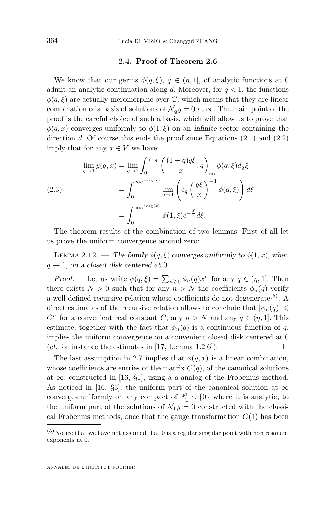#### **2.4. Proof of Theorem [2.6](#page-15-0)**

<span id="page-18-0"></span>We know that our germs  $\phi(q,\xi), q \in (\eta,1]$ , of analytic functions at 0 admit an analytic continuation along d. Moreover, for  $q < 1$ , the functions  $\phi(q,\xi)$  are actually meromorphic over C, which means that they are linear combination of a basis of solutions of  $\mathcal{N}_q y = 0$  at  $\infty$ . The main point of the proof is the careful choice of such a basis, which will allow us to prove that  $\phi(q, x)$  converges uniformly to  $\phi(1, \xi)$  on an *infinite* sector containing the direction  $d$ . Of course this ends the proof since Equations  $(2.1)$  and  $(2.2)$ imply that for any  $x \in V$  we have:

(2.3)  
\n
$$
\lim_{q \to 1} y(q, x) = \lim_{q \to 1} \int_0^{\frac{x}{1-q}} \left( \frac{(1-q)q\xi}{x}; q \right)_{\infty} \phi(q, \xi) d_q \xi
$$
\n
$$
= \int_0^{\infty} e^{i \arg(x)} \lim_{q \to 1} \left( e_q \left( \frac{q\xi}{x} \right)^{-1} \phi(q, \xi) \right) d\xi
$$
\n
$$
= \int_0^{\infty} e^{i \arg(x)} \phi(1, \xi) e^{-\frac{\xi}{x}} d\xi.
$$

The theorem results of the combination of two lemmas. First of all let us prove the uniform convergence around zero:

LEMMA 2.12. — *The family*  $\phi(q, \xi)$  *converges uniformly to*  $\phi(1, x)$ *, when*  $q \rightarrow 1$ , on a closed disk centered at 0.

*Proof.* — Let us write  $\phi(q,\xi) = \sum_{n\geqslant 0} \phi_n(q) x^n$  for any  $q \in (n,1]$ . Then there exists  $N > 0$  such that for any  $n > N$  the coefficients  $\phi_n(q)$  verify a well defined recursive relation whose coefficients do not degenerate<sup> $(5)$ </sup>. A direct estimates of the recursive relation allows to conclude that  $|\phi_n(q)| \leq$  $C<sup>n</sup>$  for a convenient real constant C, any  $n > N$  and any  $q \in (\eta, 1]$ . This estimate, together with the fact that  $\phi_n(q)$  is a continuous function of q, implies the uniform convergence on a convenient closed disk centered at 0 (*cf.* for instance the estimates in [\[17,](#page-46-0) Lemma 1.2.6]).  $\Box$ 

The last assumption in [2.7](#page-15-0) implies that  $\phi(q, x)$  is a linear combination, whose coefficients are entries of the matrix  $C(q)$ , of the canonical solutions at  $\infty$ , constructed in [\[16,](#page-45-0) §1], using a q-analog of the Frobenius method. As noticed in [\[16,](#page-45-0) §3], the uniform part of the canonical solution at  $\infty$ converges uniformly on any compact of  $\mathbb{P}^1_{\mathbb{C}} \setminus \{0\}$  where it is analytic, to the uniform part of the solutions of  $\mathcal{N}_1y = 0$  constructed with the classical Frobenius methods, once that the gauge transformation  $C(1)$  has been

 $(5)$  Notice that we have not assumed that 0 is a regular singular point with non resonant exponents at 0.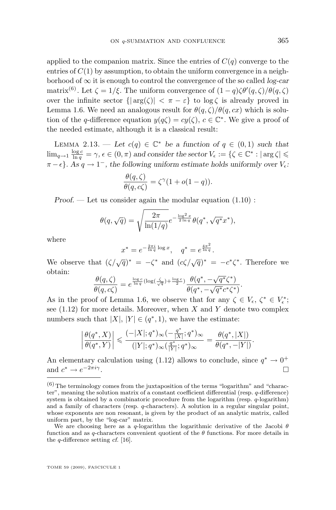applied to the companion matrix. Since the entries of  $C(q)$  converge to the entries of  $C(1)$  by assumption, to obtain the uniform convergence in a neighborhood of ∞ it is enough to control the convergence of the so called *log-car* matrix<sup>(6)</sup>. Let  $\zeta = 1/\xi$ . The uniform convergence of  $(1 - q)\zeta \theta'(q, \zeta)/\theta(q, \zeta)$ over the infinite sector  $\{|\arg(\zeta)| < \pi - \varepsilon\}$  to  $\log \zeta$  is already proved in Lemma [1.6.](#page-11-0) We need an analogous result for  $\theta(q,\zeta)/\theta(q,cx)$  which is solution of the q-difference equation  $y(q\zeta) = cy(\zeta), c \in \mathbb{C}^*$ . We give a proof of the needed estimate, although it is a classical result:

LEMMA 2.13. — Let  $c(q) \in \mathbb{C}^*$  be a function of  $q \in (0,1)$  such that  $\lim_{q\to 1} \frac{\log c}{\ln q} = \gamma$ ,  $\epsilon \in (0, \pi)$  and consider the sector  $V_{\epsilon} := \{ \zeta \in \mathbb{C}^* : |\arg \zeta| \leq \epsilon \}$  $\pi - \epsilon$ . As  $q \to 1^-$ , the following uniform estimate holds uniformly over  $V_{\epsilon}$ :

$$
\frac{\theta(q,\zeta)}{\theta(q,c\zeta)} = \zeta^{\gamma}(1+o(1-q)).
$$

*Proof.* — Let us consider again the modular equation  $(1.10)$ :

$$
\theta(q, \sqrt{q}) = \sqrt{\frac{2\pi}{\ln(1/q)}} e^{-\frac{\log^2 x}{2\ln q}} \theta(q^*, \sqrt{q^*}x^*),
$$

where

$$
x^* = e^{-\frac{2\pi i}{\ln q} \log x}, \quad q^* = e^{\frac{4\pi^2}{\ln q}}.
$$

We observe that  $(\zeta/\sqrt{q})^* = -\zeta^*$  and  $(c\zeta/\sqrt{q})^* = -c^*\zeta^*$ . Therefore we obtain: √

$$
\frac{\theta(q,\zeta)}{\theta(q,c\zeta)} = e^{\frac{\log c}{\ln q}(\log(\frac{\zeta}{\sqrt{q}})+\frac{\log c}{2})}\frac{\theta(q^*,-\sqrt{q^*}\zeta^*)}{\theta(q^*,-\sqrt{q^*}c^*\zeta^*)}.
$$

As in the proof of Lemma [1.6,](#page-11-0) we observe that for any  $\zeta \in V_{\epsilon}$ ,  $\zeta^* \in V_{\epsilon}^*$ ; see  $(1.12)$  for more details. Moreover, when X and Y denote two complex numbers such that  $|X|, |Y| \in (q^*, 1)$ , we have the estimate:

$$
\left|\frac{\theta(q^*,X)}{\theta(q^*,Y)}\right|\leqslant \frac{(-|X|;q^*)_{\infty}(-\frac{q^*}{|X|};q^*)_{\infty}}{(|Y|;q^*)_{\infty}(\frac{q^*}{|Y|};q^*)_{\infty}}=\frac{\theta(q^*,|X|)}{\theta(q^*,-|Y|)}
$$

.

An elementary calculation using [\(1.12\)](#page-11-0) allows to conclude, since  $q^* \to 0^+$ and  $c^* \to e^{-2\pi i \gamma}$ . В последните поставите на селото на селото на селото на селото на селото на селото на селото на селото на се<br>Селото на селото на селото на селото на селото на селото на селото на селото на селото на селото на селото на

 $(6)$  The terminology comes from the juxtaposition of the terms "logarithm" and "character", meaning the solution matrix of a constant coefficient differential (resp. q-difference) system is obtained by a combinatoric procedure from the logarithm (resp. q-logarithm) and a family of characters (resp. q-characters). A solution in a regular singular point, whose exponents are non resonant, is given by the product of an analytic matrix, called uniform part, by the "log-car" matrix.

We are choosing here as a q-logarithm the logarithmic derivative of the Jacobi  $\theta$ function and as q-characters convenient quotient of the  $\theta$  functions. For more details in the q-difference setting *cf.* [\[16\]](#page-45-0).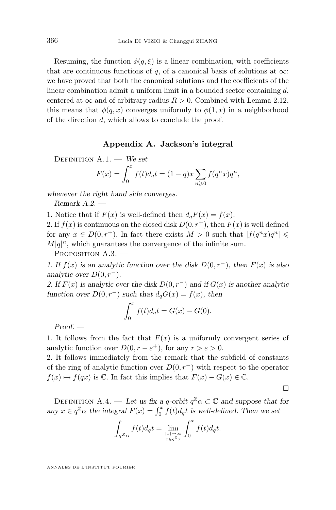<span id="page-20-0"></span>Resuming, the function  $\phi(q,\xi)$  is a linear combination, with coefficients that are continuous functions of q, of a canonical basis of solutions at  $\infty$ : we have proved that both the canonical solutions and the coefficients of the linear combination admit a uniform limit in a bounded sector containing  $d$ , centered at  $\infty$  and of arbitrary radius  $R > 0$ . Combined with Lemma [2.12,](#page-18-0) this means that  $\phi(q, x)$  converges uniformly to  $\phi(1, x)$  in a neighborhood of the direction d, which allows to conclude the proof.

#### **Appendix A. Jackson's integral**

DEFINITION A.1. — We set  

$$
F(x) = \int_0^x f(t) d_q t = (1-q)x \sum_{n \geq 0} f(q^n x) q^n,
$$

*whenever the right hand side converges.*

*Remark A.2. —*

1. Notice that if  $F(x)$  is well-defined then  $d_qF(x) = f(x)$ .

2. If  $f(x)$  is continuous on the closed disk  $D(0, r<sup>+</sup>)$ , then  $F(x)$  is well defined for any  $x \in D(0, r<sup>+</sup>)$ . In fact there exists  $M > 0$  such that  $|f(q<sup>n</sup>x)q<sup>n</sup>| \leq$  $M|q|^n$ , which guarantees the convergence of the infinite sum.

PROPOSITION A.3.

*1. If* f(x) *is an analytic function over the disk* D(0, r<sup>−</sup>)*, then* F(x) *is also analytic over*  $D(0, r^-)$ *.* 

*2.* If  $F(x)$  is analytic over the disk  $D(0, r^-)$  and if  $G(x)$  is another analytic *function over*  $D(0, r^-)$  *such that*  $d_qG(x) = f(x)$ *, then* 

$$
\int_0^x f(t)d_qt = G(x) - G(0).
$$

*Proof. —*

1. It follows from the fact that  $F(x)$  is a uniformly convergent series of analytic function over  $D(0, r - \varepsilon^+)$ , for any  $r > \varepsilon > 0$ .

2. It follows immediately from the remark that the subfield of constants of the ring of analytic function over  $D(0, r^-)$  with respect to the operator  $f(x) \mapsto f(qx)$  is  $\mathbb C$ . In fact this implies that  $F(x) - G(x) \in \mathbb C$ .

П

DEFINITION A.4. — Let us fix a q-orbit  $q^{\mathbb{Z}}\alpha \subset \mathbb{C}$  and suppose that for any  $x \in q^{\mathbb{Z}}\alpha$  the integral  $F(x) = \int_0^x f(t)d_qt$  is well-defined. Then we set

$$
\int_{q^Z\alpha} f(t)d_qt = \lim_{\substack{|x| \to \infty \\ x \in q^{\mathbb{Z}_\alpha}}} \int_0^x f(t)d_qt.
$$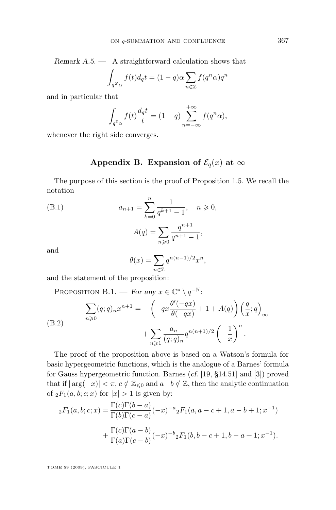<span id="page-21-0"></span>*Remark A.5. —* A straightforward calculation shows that

$$
\int_{q^Z\alpha} f(t)d_qt = (1-q)\alpha \sum_{n\in\mathbb{Z}} f(q^n\alpha)q^n
$$

and in particular that

$$
\int_{q^{\mathbb{Z}}\alpha} f(t) \frac{d_q t}{t} = (1-q) \sum_{n=-\infty}^{+\infty} f(q^n \alpha),
$$

whenever the right side converges.

#### **Appendix B. Expansion of**  $\mathcal{E}_q(x)$  at  $\infty$

The purpose of this section is the proof of Proposition [1.5.](#page-9-0) We recall the notation

(B.1) 
$$
a_{n+1} = \sum_{k=0}^{n} \frac{1}{q^{k+1} - 1}, \quad n \geq 0,
$$

$$
A(q) = \sum_{n \geq 0} \frac{q^{n+1}}{q^{n+1} - 1},
$$

and

$$
\theta(x) = \sum_{n \in \mathbb{Z}} q^{n(n-1)/2} x^n,
$$

and the statement of the proposition:

PROPOSITION B.1. — *For any*  $x \in \mathbb{C}^* \setminus q^{-\mathbb{N}}$ : (B.2)  $\sum$  $n\geqslant 0$  $(q;q)_n x^{n+1} = -\left(-qx\frac{\theta'(-qx)}{\theta(-qx)}\right)$  $\frac{\theta'(-qx)}{\theta(-qx)} + 1 + A(q)\right)\left(\frac{q}{x}\right)$  $\frac{q}{x};q\Big)$ ∞  $+\sum$  $n\geqslant 1$  $a_n$  $\frac{a_n}{(q;q)_n} q^{n(n+1)/2} \left(-\frac{1}{x}\right)$  $\boldsymbol{x}$  $\bigg\}^n$ .

The proof of the proposition above is based on a Watson's formula for basic hypergeometric functions, which is the analogue of a Barnes' formula for Gauss hypergeometric function. Barnes (*cf.* [\[19,](#page-46-0) §14.51] and [\[3\]](#page-45-0)) proved that if  $|\arg(-x)| < \pi$ ,  $c \notin \mathbb{Z}_{\leq 0}$  and  $a-b \notin \mathbb{Z}$ , then the analytic continuation of  $_2F_1(a, b; c; x)$  for  $|x| > 1$  is given by:

$$
{}_2F_1(a,b;c;x) = \frac{\Gamma(c)\Gamma(b-a)}{\Gamma(b)\Gamma(c-a)}(-x)^{-a}{}_2F_1(a,a-c+1,a-b+1;x^{-1})
$$

$$
+ \frac{\Gamma(c)\Gamma(a-b)}{\Gamma(a)\Gamma(c-b)}(-x)^{-b}{}_2F_1(b,b-c+1,b-a+1;x^{-1}).
$$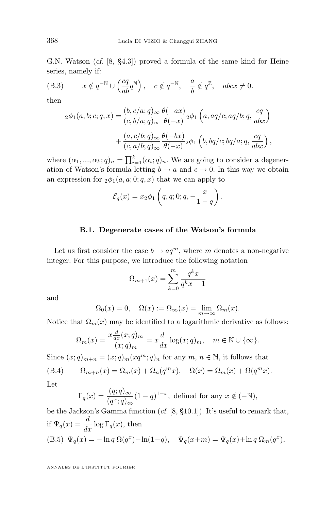<span id="page-22-0"></span>G.N. Watson (*cf.* [\[8,](#page-45-0) §4.3]) proved a formula of the same kind for Heine series, namely if:

(B.3) 
$$
x \notin q^{-\mathbb{N}} \cup \left(\frac{cq}{ab}q^{\mathbb{N}}\right), \quad c \notin q^{-\mathbb{N}}, \quad \frac{a}{b} \notin q^{\mathbb{Z}}, \quad abcx \neq 0.
$$

then

$$
{}_2\phi_1(a,b;c;q,x) = \frac{(b,c/a;q)_\infty}{(c,b/a;q)_\infty} \frac{\theta(-ax)}{\theta(-x)}{}_2\phi_1(a,aq/c;aq/b;q,\frac{cq}{abx})
$$

$$
+ \frac{(a,c/b;q)_\infty}{(c,a/b;q)_\infty} \frac{\theta(-bx)}{\theta(-x)}{}_2\phi_1\left(b,bq/c;bq/a;q,\frac{cq}{abx}\right),
$$

where  $(\alpha_1, ..., \alpha_k; q)_n = \prod_{i=1}^k (\alpha_i; q)_n$ . We are going to consider a degeneration of Watson's formula letting  $b \to a$  and  $c \to 0$ . In this way we obtain an expression for  $_2\phi_1(a, a; 0; q, x)$  that we can apply to

$$
\mathcal{E}_q(x) = x_2 \phi_1 \left( q, q; 0; q, -\frac{x}{1-q} \right).
$$

#### **B.1. Degenerate cases of the Watson's formula**

Let us first consider the case  $b \to aq^m$ , where m denotes a non-negative integer. For this purpose, we introduce the following notation

$$
\Omega_{m+1}(x) = \sum_{k=0}^{m} \frac{q^k x}{q^k x - 1}
$$

and

$$
\Omega_0(x) = 0, \quad \Omega(x) := \Omega_\infty(x) = \lim_{m \to \infty} \Omega_m(x).
$$

Notice that  $\Omega_m(x)$  may be identified to a logarithmic derivative as follows:

$$
\Omega_m(x) = \frac{x \frac{d}{dx}(x;q)_m}{(x;q)_m} = x \frac{d}{dx} \log(x;q)_m, \quad m \in \mathbb{N} \cup \{\infty\}.
$$

Since  $(x;q)_{m+n} = (x;q)_m (xq^m;q)_n$  for any  $m, n \in \mathbb{N}$ , it follows that

(B.4) 
$$
\Omega_{m+n}(x) = \Omega_m(x) + \Omega_n(q^m x), \quad \Omega(x) = \Omega_m(x) + \Omega(q^m x).
$$

Let

$$
\Gamma_q(x) = \frac{(q;q)_{\infty}}{(q^x;q)_{\infty}} (1-q)^{1-x},
$$
 defined for any  $x \notin (-\mathbb{N}),$ 

be the Jackson's Gamma function (*cf.* [\[8,](#page-45-0) §10.1]). It's useful to remark that, if  $\Psi_q(x) = \frac{d}{dx} \log \Gamma_q(x)$ , then (B.5)  $\Psi_q(x) = -\ln q \ \Omega(q^x) - \ln(1-q), \quad \Psi_q(x+m) = \Psi_q(x) + \ln q \ \Omega_m(q^x),$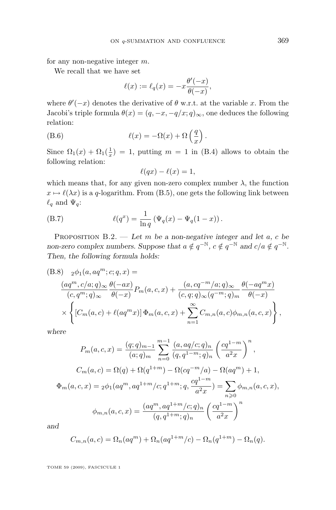<span id="page-23-0"></span>for any non-negative integer m.

We recall that we have set

$$
\ell(x) := \ell_q(x) = -x \frac{\theta'(-x)}{\theta(-x)},
$$

where  $\theta'(-x)$  denotes the derivative of  $\theta$  w.r.t. at the variable x. From the Jacobi's triple formula  $\theta(x) = (q, -x, -q/x; q)_{\infty}$ , one deduces the following relation:

(B.6) 
$$
\ell(x) = -\Omega(x) + \Omega\left(\frac{q}{x}\right).
$$

Since  $\Omega_1(x) + \Omega_1(\frac{1}{x}) = 1$ , putting  $m = 1$  in [\(B.4\)](#page-22-0) allows to obtain the following relation:

$$
\ell(qx) - \ell(x) = 1,
$$

which means that, for any given non-zero complex number  $\lambda$ , the function  $x \mapsto \ell(\lambda x)$  is a q-logarithm. From [\(B.5\)](#page-22-0), one gets the following link between  $\ell_q$  and  $\Psi_q$ :

(B.7) 
$$
\ell(q^x) = \frac{1}{\ln q} (\Psi_q(x) - \Psi_q(1-x)).
$$

Proposition B.2. — *Let* m *be a non-negative integer and let* a*,* c *be non-zero complex numbers. Suppose that*  $a \notin q^{-\mathbb{N}}$ ,  $c \notin q^{-\mathbb{N}}$  and  $c/a \notin q^{-\mathbb{N}}$ . *Then, the following formula holds:*

(B.8) 
$$
{}_{2}\phi_{1}(a,aq^{m};c;q,x) =
$$

$$
\frac{(aq^{m},c/a;q)_{\infty}}{(c,q^{m};q)_{\infty}}\frac{\theta(-ax)}{\theta(-x)}P_{m}(a,c,x) + \frac{(a,cq^{-m}/a;q)_{\infty}}{(c,q;q)_{\infty}(q^{-m};q)_{m}}\frac{\theta(-aq^{m}x)}{\theta(-x)}
$$

$$
\times \left\{ [C_{m}(a,c) + \ell(aq^{m}x)] \Phi_{m}(a,c,x) + \sum_{n=1}^{\infty} C_{m,n}(a,c)\phi_{m,n}(a,c,x) \right\},
$$

*where*

$$
P_m(a, c, x) = \frac{(q; q)_{m-1}}{(a; q)_m} \sum_{n=0}^{m-1} \frac{(a, aq/c; q)_n}{(q, q^{1-m}; q)_n} \left(\frac{cq^{1-m}}{a^2 x}\right)^n,
$$
  

$$
C_m(a, c) = \Omega(q) + \Omega(q^{1+m}) - \Omega(cq^{-m}/a) - \Omega(aq^m) + 1,
$$
  

$$
\Phi_m(a, c, x) = {}_2\phi_1(aq^m, aq^{1+m}/c; q^{1+m}; q, \frac{cq^{1-m}}{a^2 x}) = \sum_{n \geq 0} \phi_{m,n}(a, c, x),
$$
  

$$
\phi_{m,n}(a, c, x) = \frac{(aq^m, aq^{1+m}/c; q)_n}{(q, q^{1+m}; q)_n} \left(\frac{cq^{1-m}}{a^2 x}\right)^n
$$

*and*

$$
C_{m,n}(a,c) = \Omega_n(aq^m) + \Omega_n(aq^{1+m}/c) - \Omega_n(q^{1+m}) - \Omega_n(q).
$$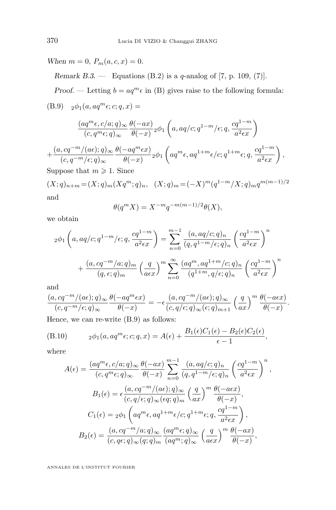<span id="page-24-0"></span>*When*  $m = 0$ ,  $P_m(a, c, x) = 0$ .

*Remark B.3. —* Equations [\(B.2\)](#page-23-0) is a q-analog of [\[7,](#page-45-0) p. 109, (7)].

*Proof.* — Letting  $b = aq^m \epsilon$  in [\(B\)](#page-22-0) gives raise to the following formula:

(B.9) 
$$
_2\phi_1(a, aq^m\epsilon; c; q, x) =
$$

$$
\frac{(aq^m\epsilon, c/a;q)_\infty}{(c,q^m\epsilon;q)_\infty} \frac{\theta(-ax)}{\theta(-x)} \cdot 2\phi_1\left(a, aq/c;q^{1-m}/\epsilon;q,\frac{cq^{1-m}}{a^2\epsilon x}\right)
$$

$$
+\frac{(a,cq^{-m}/(a\epsilon);q)_{\infty}}{(c,q^{-m}/\epsilon;q)_{\infty}}\frac{\theta(-aq^m\epsilon x)}{\theta(-x)}\cdot 2\phi_1\left(aq^m\epsilon,aq^{1+m}\epsilon/c;q^{1+m}\epsilon;q,\frac{cq^{1-m}}{a^2\epsilon x}\right),
$$

Suppose that  $m \geqslant 1$ . Since

$$
(X;q)_{n+m} = (X;q)_m(Xq^m;q)_n, \quad (X;q)_m = (-X)^m (q^{1-m}/X;q)_m q^{m(m-1)/2}
$$
  
and

$$
\theta(q^m X) = X^{-m} q^{-m(m-1)/2} \theta(X),
$$

we obtain

$$
2\phi_1\left(a, aq/c; q^{1-m}/\epsilon; q, \frac{cq^{1-m}}{a^2\epsilon x}\right) = \sum_{n=0}^{m-1} \frac{(a, aq/c; q)_n}{(q, q^{1-m}/\epsilon; q)_n} \left(\frac{cq^{1-m}}{a^2\epsilon x}\right)^n
$$

$$
+ \frac{(a, cq^{-m}/a; q)_m}{(q, \epsilon; q)_m} \left(\frac{q}{a\epsilon x}\right)^m \sum_{n=0}^{\infty} \frac{(aq^m, aq^{1+m}/c; q)_n}{(q^{1+m}, q/\epsilon; q)_n} \left(\frac{cq^{1-m}}{a^2\epsilon x}\right)^n
$$

and

$$
\frac{(a,cq^{-m}/(a\epsilon);q)_{\infty}}{(c,q^{-m}/\epsilon;q)_{\infty}}\frac{\theta(-aq^m\epsilon x)}{\theta(-x)}=-\epsilon\frac{(a,cq^{-m}/(a\epsilon);q)_{\infty}}{(c,q/\epsilon;q)_{\infty}(\epsilon;q)_{m+1}}\left(\frac{q}{ax}\right)^m\frac{\theta(-a\epsilon x)}{\theta(-x)}.
$$

Hence, we can re-write (B.9) as follows:

(B.10) 
$$
{}_2\phi_1(a, aq^m\epsilon; c; q, x) = A(\epsilon) + \frac{B_1(\epsilon)C_1(\epsilon) - B_2(\epsilon)C_2(\epsilon)}{\epsilon - 1},
$$

where

$$
A(\epsilon) = \frac{(aq^m \epsilon, c/a; q)_{\infty}}{(c, q^m \epsilon; q)_{\infty}} \frac{\theta(-ax)}{\theta(-x)} \sum_{n=0}^{m-1} \frac{(a, aq/c; q)_n}{(q, q^{1-m}/\epsilon; q)_n} \left(\frac{cq^{1-m}}{a^2 \epsilon x}\right)^n,
$$
  
\n
$$
B_1(\epsilon) = \epsilon \frac{(a, cq^{-m}/(a\epsilon); q)_{\infty}}{(c, q/\epsilon; q)_{\infty} (\epsilon q; q)_m} \left(\frac{q}{ax}\right)^m \frac{\theta(-a\epsilon x)}{\theta(-x)},
$$
  
\n
$$
C_1(\epsilon) = {}_2\phi_1 \left(aq^m \epsilon, aq^{1+m} \epsilon/c; q^{1+m} \epsilon; q, \frac{cq^{1-m}}{a^2 \epsilon x}\right),
$$
  
\n
$$
B_2(\epsilon) = \frac{(a, cq^{-m}/a; q)_{\infty}}{(c, q\epsilon; q)_{\infty} (q; q)_m} \frac{(aq^m \epsilon; q)_{\infty}}{(aq^m; q)_{\infty}} \left(\frac{q}{a\epsilon x}\right)^m \frac{\theta(-ax)}{\theta(-x)},
$$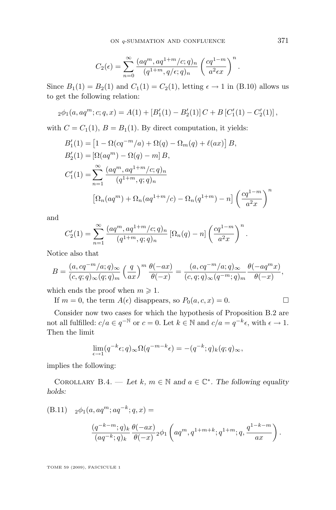$$
C_2(\epsilon) = \sum_{n=0}^{\infty} \frac{(aq^m, aq^{1+m}/c; q)_n}{(q^{1+m}, q/\epsilon; q)_n} \left(\frac{cq^{1-m}}{a^2 \epsilon x}\right)^n.
$$

Since  $B_1(1) = B_2(1)$  and  $C_1(1) = C_2(1)$ , letting  $\epsilon \to 1$  in [\(B.10\)](#page-24-0) allows us to get the following relation:

$$
{}_{2}\phi_1(a,aq^m;c;q,x) = A(1) + [B'_1(1) - B'_2(1)]C + B[C'_1(1) - C'_2(1)],
$$

with  $C = C_1(1)$ ,  $B = B_1(1)$ . By direct computation, it yields:

$$
B'_{1}(1) = [1 - \Omega(cq^{-m}/a) + \Omega(q) - \Omega_{m}(q) + \ell(ax)] B,
$$
  
\n
$$
B'_{2}(1) = [\Omega(aq^{m}) - \Omega(q) - m] B,
$$
  
\n
$$
C'_{1}(1) = \sum_{n=1}^{\infty} \frac{(aq^{m}, aq^{1+m}/c; q)_{n}}{(q^{1+m}, q; q)_{n}}
$$
  
\n
$$
[\Omega_{n}(aq^{m}) + \Omega_{n}(aq^{1+m}/c) - \Omega_{n}(q^{1+m}) - n] \left(\frac{cq^{1-m}}{a^{2}x}\right)^{n}
$$

and

$$
C'_{2}(1) = \sum_{n=1}^{\infty} \frac{(aq^m, aq^{1+m}/c;q)_n}{(q^{1+m}, q;q)_n} [\Omega_n(q) - n] \left(\frac{cq^{1-m}}{a^2x}\right)^n.
$$

Notice also that

$$
B = \frac{(a, cq^{-m}/a; q)_{\infty}}{(c, q; q)_{\infty}(q; q)_{m}} \left(\frac{q}{ax}\right)^{m} \frac{\theta(-ax)}{\theta(-x)} = \frac{(a, cq^{-m}/a; q)_{\infty}}{(c, q; q)_{\infty}(q^{-m}; q)_{m}} \frac{\theta(-aq^{m}x)}{\theta(-x)},
$$

which ends the proof when  $m \geq 1$ .

If  $m = 0$ , the term  $A(\epsilon)$  disappears, so  $P_0(a, c, x) = 0$ .

Consider now two cases for which the hypothesis of Proposition [B.2](#page-23-0) are not all fulfilled:  $c/a \in q^{-\mathbb{N}}$  or  $c = 0$ . Let  $k \in \mathbb{N}$  and  $c/a = q^{-k} \epsilon$ , with  $\epsilon \to 1$ . Then the limit

$$
\lim_{\epsilon \to 1} (q^{-k}\epsilon; q)_{\infty} \Omega(q^{-m-k}\epsilon) = -(q^{-k}; q)_k (q; q)_{\infty},
$$

implies the following:

COROLLARY B.4. — Let k,  $m \in \mathbb{N}$  and  $a \in \mathbb{C}^*$ . The following equality *holds:*

(B.11) 
$$
{}_2\phi_1(a, aq^m; aq^{-k}; q, x) =
$$
  
\n
$$
\frac{(q^{-k-m}; q)_k}{(aq^{-k}; q)_k} \frac{\theta(-ax)}{\theta(-x)}{}_2\phi_1\left(aq^m, q^{1+m+k}; q^{1+m}; q, \frac{q^{1-k-m}}{ax}\right).
$$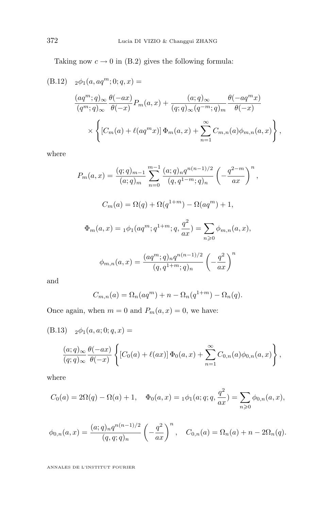<span id="page-26-0"></span>Taking now  $c \to 0$  in [\(B.2\)](#page-23-0) gives the following formula:

(B.12) 
$$
{}_{2}\phi_{1}(a,aq^{m};0;q,x) =
$$

$$
\frac{(aq^{m};q)_{\infty}}{(q^{m};q)_{\infty}}\frac{\theta(-ax)}{\theta(-x)}P_{m}(a,x) + \frac{(a;q)_{\infty}}{(q;q)_{\infty}(q^{-m};q)_{m}}\frac{\theta(-aq^{m}x)}{\theta(-x)}
$$

$$
\times \left\{ [C_{m}(a) + \ell(aq^{m}x)] \Phi_{m}(a,x) + \sum_{n=1}^{\infty} C_{m,n}(a)\phi_{m,n}(a,x) \right\},
$$

where

$$
P_m(a,x) = \frac{(q;q)_{m-1}}{(a;q)_m} \sum_{n=0}^{m-1} \frac{(a;q)_n q^{n(n-1)/2}}{(q,q^{1-m};q)_n} \left(-\frac{q^{2-m}}{ax}\right)^n
$$

$$
C_m(a) = \Omega(q) + \Omega(q^{1+m}) - \Omega(aq^m) + 1,
$$

$$
\Phi_m(a,x) = {}_1\phi_1(aq^m;q^{1+m};q,\frac{q^2}{ax}) = \sum_{n \geq 0} \phi_{m,n}(a,x),
$$

$$
\phi_{m,n}(a,x) = \frac{(aq^m;q)_n q^{n(n-1)/2}}{(q,q^{1+m};q)_n} \left(-\frac{q^2}{ax}\right)^n
$$

,

and

$$
C_{m,n}(a) = \Omega_n(aq^m) + n - \Omega_n(q^{1+m}) - \Omega_n(q).
$$

Once again, when  $m = 0$  and  $P_m(a, x) = 0$ , we have:

(B.13) 
$$
{}_{2}\phi_{1}(a, a; 0; q, x) =
$$
  
\n
$$
\frac{(a;q)_{\infty}}{(q;q)_{\infty}} \frac{\theta(-ax)}{\theta(-x)} \left\{ [C_{0}(a) + \ell(ax)] \Phi_{0}(a,x) + \sum_{n=1}^{\infty} C_{0,n}(a)\phi_{0,n}(a,x) \right\},
$$

where

$$
C_0(a) = 2\Omega(q) - \Omega(a) + 1, \quad \Phi_0(a, x) = {}_1\phi_1(a; q; q, \frac{q^2}{ax}) = \sum_{n \geq 0} \phi_{0,n}(a, x),
$$

$$
\phi_{0,n}(a,x) = \frac{(a;q)_n q^{n(n-1)/2}}{(q,q;q)_n} \left(-\frac{q^2}{ax}\right)^n, \quad C_{0,n}(a) = \Omega_n(a) + n - 2\Omega_n(q).
$$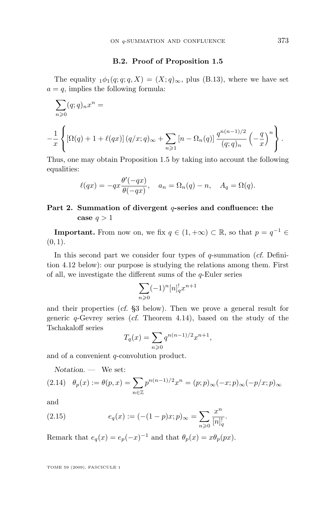#### **B.2. Proof of Proposition [1.5](#page-9-0)**

<span id="page-27-0"></span>The equality  $_1\phi_1(q; q; q, X) = (X; q)_{\infty}$ , plus [\(B.13\)](#page-26-0), where we have set  $a = q$ , implies the following formula:

$$
\sum_{n\geqslant 0} (q;q)_n x^n =
$$
\n
$$
-\frac{1}{x} \left\{ \left[ \Omega(q) + 1 + \ell(qx) \right] (q/x;q)_\infty + \sum_{n\geqslant 1} \left[ n - \Omega_n(q) \right] \frac{q^{n(n-1)/2}}{(q;q)_n} \left( -\frac{q}{x} \right)^n \right\}.
$$

Thus, one may obtain Proposition [1.5](#page-9-0) by taking into account the following equalities:

$$
\ell(qx) = -qx \frac{\theta'(-qx)}{\theta(-qx)}, \quad a_n = \Omega_n(q) - n, \quad A_q = \Omega(q).
$$

#### **Part 2. Summation of divergent** q**-series and confluence: the** case  $q > 1$

**Important.** From now on, we fix  $q \in (1, +\infty) \subset \mathbb{R}$ , so that  $p = q^{-1} \in$  $(0, 1)$ .

In this second part we consider four types of q-summation (*cf.* Definition [4.12](#page-38-0) below): our purpose is studying the relations among them. First of all, we investigate the different sums of the  $q$ -Euler series

$$
\sum_{n\geqslant 0} (-1)^n [n]_q^! x^{n+1}
$$

and their properties (*cf.* [§3](#page-28-0) below). Then we prove a general result for generic q-Gevrey series (*cf.* Theorem [4.14\)](#page-39-0), based on the study of the Tschakaloff series

$$
T_q(x) = \sum_{n \ge 0} q^{n(n-1)/2} x^{n+1},
$$

and of a convenient q-convolution product.

*Notation. —* We set:

$$
(2.14) \quad \theta_p(x) := \theta(p, x) = \sum_{n \in \mathbb{Z}} p^{n(n-1)/2} x^n = (p; p)_{\infty}(-x; p)_{\infty}(-p/x; p)_{\infty}
$$

and

(2.15) 
$$
e_q(x) := (-(1-p)x; p)_{\infty} = \sum_{n \geq 0} \frac{x^n}{[n]_q!}.
$$

Remark that  $e_q(x) = e_p(-x)^{-1}$  and that  $\theta_p(x) = x\theta_p(px)$ .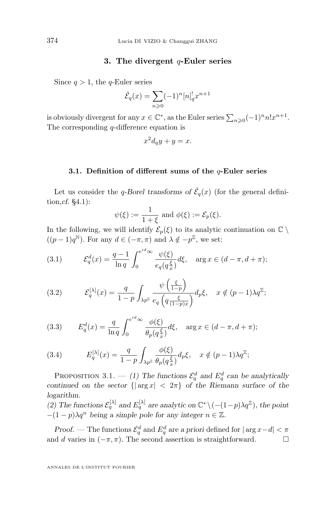#### **3. The divergent** q**-Euler series**

<span id="page-28-0"></span>Since  $q > 1$ , the q-Euler series

$$
\hat{\mathcal{E}}_q(x) = \sum_{n \geq 0} (-1)^n [n]_q^! x^{n+1}
$$

is obviously divergent for any  $x \in \mathbb{C}^*$ , as the Euler series  $\sum_{n\geqslant 0} (-1)^n n! x^{n+1}$ . The corresponding  $q$ -difference equation is

$$
x^2d_qy + y = x.
$$

#### **3.1. Definition of different sums of the** q**-Euler series**

Let us consider the *q*-Borel transforms of  $\hat{\mathcal{E}}_q(x)$  (for the general definition,*cf.* [§4.1\)](#page-35-0):

$$
\psi(\xi) := \frac{1}{1+\xi} \text{ and } \phi(\xi) := \mathcal{E}_p(\xi).
$$

In the following, we will identify  $\mathcal{E}_p(\xi)$  to its analytic continuation on  $\mathbb{C} \setminus$  $((p-1)q^N)$ . For any  $d \in (-\pi, \pi)$  and  $\lambda \notin -p^{\mathbb{Z}}$ , we set:

(3.1) 
$$
\mathcal{E}_q^d(x) = \frac{q-1}{\ln q} \int_0^{e^{id}\infty} \frac{\psi(\xi)}{e_q(q_x^{\xi})} d\xi, \text{ arg } x \in (d-\pi, d+\pi);
$$

(3.2) 
$$
\mathcal{E}_q^{[\lambda]}(x) = \frac{q}{1-p} \int_{\lambda p^{\mathbb{Z}}} \frac{\psi\left(\frac{\xi}{1-p}\right)}{e_q\left(q\frac{\xi}{(1-p)x}\right)} d_p \xi, \quad x \notin (p-1)\lambda q^{\mathbb{Z}};
$$

(3.3) 
$$
E_q^d(x) = \frac{q}{\ln q} \int_0^{e^{id} \infty} \frac{\phi(\xi)}{\theta_p(q_x^{\xi})} d\xi, \text{ arg } x \in (d - \pi, d + \pi);
$$

(3.4) 
$$
E_q^{[\lambda]}(x) = \frac{q}{1-p} \int_{\lambda p^{\mathbb{Z}}} \frac{\phi(\xi)}{\theta_p(q_x^{\xi})} d_p \xi, \quad x \notin (p-1)\lambda q^{\mathbb{Z}};
$$

PROPOSITION 3.1.  $-$  (1) The functions  $\mathcal{E}_q^d$  and  $E_q^d$  can be analytically *continued on the sector*  $\{|\arg x| < 2\pi\}$  *of the Riemann surface of the logarithm.*

(2) The functions  $\mathcal{E}_q^{[\lambda]}$  and  $E_q^{[\lambda]}$  are analytic on  $\mathbb{C}^* \setminus (- (1-p) \lambda q^{\mathbb{Z}})$ , the point  $-(1-p)\lambda q^n$  being a simple pole for any integer  $n \in \mathbb{Z}$ .

*Proof.* — The functions  $\mathcal{E}_q^d$  and  $E_q^d$  are a priori defined for  $|\arg x - d| < \pi$ and d varies in  $(-\pi, \pi)$ . The second assertion is straightforward.  $\square$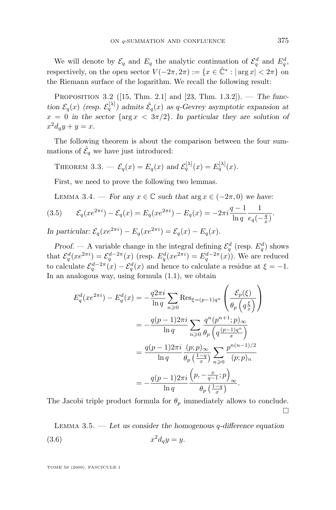<span id="page-29-0"></span>We will denote by  $\mathcal{E}_q$  and  $E_q$  the analytic continuation of  $\mathcal{E}_q^d$  and  $E_q^d$ , respectively, on the open sector  $V(-2\pi, 2\pi) := \{x \in \tilde{C}^* : |\arg x| < 2\pi\}$  on the Riemann surface of the logarithm. We recall the following result:

Proposition 3.2 ([\[15,](#page-45-0) Thm. 2.1] and [\[23,](#page-46-0) Thm. 1.3.2]). — *The func*tion  $\mathcal{E}_q(x)$  (resp.  $\mathcal{E}_q^{[\lambda]}$ ) admits  $\hat{\mathcal{E}}_q(x)$  as q-Gevrey asymptotic expansion at  $x = 0$  in the sector  $\{\arg x < 3\pi/2\}$ . In particular they are solution of  $x^2d_qy + y = x.$ 

The following theorem is about the comparison between the four summations of  $\hat{\mathcal{E}}_q$  we have just introduced:

THEOREM 3.3. 
$$
-\mathcal{E}_q(x) = E_q(x)
$$
 and  $\mathcal{E}_q^{[\lambda]}(x) = E_q^{[\lambda]}(x)$ .

First, we need to prove the following two lemmas.

LEMMA 3.4. — *For any*  $x \in \mathbb{C}$  *such that*  $\arg x \in (-2\pi, 0)$  *we have:* 

(3.5) 
$$
\mathcal{E}_q(xe^{2\pi i}) - \mathcal{E}_q(x) = E_q(xe^{2\pi i}) - E_q(x) = -2\pi i \frac{q-1}{\ln q} \frac{1}{e_q(-\frac{q}{x})}.
$$
  
In particular,  $\mathcal{E}(xe^{2\pi i}) - \mathcal{E}(xe^{2\pi i}) - \mathcal{E}(x) - \mathcal{E}(x)$ .

*In particular:*  $\mathcal{E}_q(xe^{2\pi i}) - E_q(xe^{2\pi i}) = \mathcal{E}_q(x) - E_q(x)$ .

*Proof.* — A variable change in the integral defining  $\mathcal{E}_q^d$  (resp.  $E_q^d$ ) shows that  $\mathcal{E}_q^d(xe^{2\pi i}) = \mathcal{E}_q^{d-2\pi}(x)$  (resp.  $E_q^d(xe^{2\pi i}) = E_q^{d-2\pi}(x)$ ). We are reduced to calculate  $\mathcal{E}_q^{d-2\pi}(x) - \mathcal{E}_q^d(x)$  and hence to calculate a residue at  $\xi = -1$ . In an analogous way, using formula [\(1.1\)](#page-7-0), we obtain

$$
E_q^d(xe^{2\pi i}) - E_q^d(x) = -\frac{q2\pi i}{\ln q} \sum_{n\geqslant 0} \text{Res}_{\xi=(p-1)q^n} \left( \frac{\mathcal{E}_p(\xi)}{\theta_p \left( q \frac{\xi}{x} \right)} \right)
$$
  

$$
= -\frac{q(p-1)2\pi i}{\ln q} \sum_{n\geqslant 0} \frac{q^n (p^{n+1}; p)_{\infty}}{\theta_p \left( q \frac{(p-1)q^n}{x} \right)}
$$
  

$$
= \frac{q(p-1)2\pi i}{\ln q} \frac{(p; p)_{\infty}}{\theta_p \left( \frac{1-q}{x} \right)} \sum_{n\geqslant 0} \frac{p^{n(n-1)/2}}{(p; p)_n}
$$
  

$$
= -\frac{q(p-1)2\pi i}{\ln q} \frac{\left( p, -\frac{x}{q-1}; p \right)_{\infty}}{\theta_p \left( \frac{1-q}{x} \right)}.
$$

The Jacobi triple product formula for  $\theta_p$  immediately allows to conclude.  $\Box$ 

Lemma 3.5. — *Let us consider the homogenous* q*-difference equation*  $(3.6)$  $^{2}d_{q}y=y.$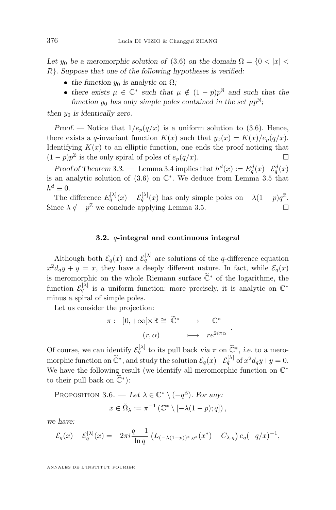<span id="page-30-0"></span>Let  $y_0$  be a meromorphic solution of [\(3.6\)](#page-29-0) on the domain  $\Omega = \{0 < |x| < \infty\}$ R}*. Suppose that one of the following hypotheses is verified:*

- *the function*  $y_0$  *is analytic on*  $\Omega$ *;*
- there exists  $\mu \in \mathbb{C}^*$  such that  $\mu \notin (1-p)p^{\mathbb{N}}$  and such that the *function*  $y_0$  *has only simple poles contained in the set*  $\mu p^N$ ;

*then*  $y_0$  *is identically zero.* 

*Proof.* — Notice that  $1/e_p(q/x)$  is a uniform solution to [\(3.6\)](#page-29-0). Hence, there exists a q-invariant function  $K(x)$  such that  $y_0(x) = K(x)/e_p(q/x)$ . Identifying  $K(x)$  to an elliptic function, one ends the proof noticing that  $(1-p)p^{\mathbb{Z}}$  is the only spiral of poles of  $e_p(q/x)$ .

*Proof of Theorem [3.3.](#page-29-0)* — Lemma [3.4](#page-29-0) implies that  $h^d(x) := E_q^d(x) - \mathcal{E}_q^d(x)$ is an analytic solution of  $(3.6)$  on  $\mathbb{C}^*$ . We deduce from Lemma [3.5](#page-29-0) that  $h^d \equiv 0.$ 

The difference  $E_q^{[\lambda]}(x) - \mathcal{E}_q^{[\lambda]}(x)$  has only simple poles on  $-\lambda(1-p)q^{\mathbb{Z}}$ . Since  $\lambda \notin -p^{\mathbb{Z}}$  we conclude applying Lemma [3.5.](#page-29-0)

#### **3.2.** q**-integral and continuous integral**

Although both  $\mathcal{E}_q(x)$  and  $\mathcal{E}_q^{[\lambda]}$  are solutions of the q-difference equation  $x^2 d_q y + y = x$ , they have a deeply different nature. In fact, while  $\mathcal{E}_q(x)$ is meromorphic on the whole Riemann surface  $\tilde{\mathbb{C}}^*$  of the logarithme, the function  $\mathcal{E}_q^{[\lambda]}$  is a uniform function: more precisely, it is analytic on  $\mathbb{C}^*$ minus a spiral of simple poles.

Let us consider the projection:

$$
\pi: \quad ]0, +\infty[\times \mathbb{R} \cong \tilde{\mathbb{C}}^* \quad \longrightarrow \quad \mathbb{C}^* \n(r, \alpha) \quad \longmapsto \quad re^{2i\pi\alpha}
$$

.

Of course, we can identify  $\mathcal{E}_q^{[\lambda]}$  to its pull back *via*  $\pi$  on  $\tilde{\mathbb{C}}^*$ , *i.e.* to a meromorphic function on  $\widetilde{\mathbb{C}}^*$ , and study the solution  $\mathcal{E}_q(x) - \mathcal{E}_q^{[\lambda]}$  of  $x^2 d_q y + y = 0$ . We have the following result (we identify all meromorphic function on  $\mathbb{C}^*$ to their pull back on  $\widetilde{\mathbb{C}}^*$ ):

PROPOSITION 3.6. — Let  $\lambda \in \mathbb{C}^* \setminus (-q^{\mathbb{Z}})$ *. For any:* 

$$
x \in \tilde{\Omega}_{\lambda} := \pi^{-1} \left( \mathbb{C}^* \setminus [-\lambda(1-p);q] \right),
$$

*we have:*

$$
\mathcal{E}_q(x) - \mathcal{E}_q^{[\lambda]}(x) = -2\pi i \frac{q-1}{\ln q} \left( L_{(-\lambda(1-p))^*,q^*}(x^*) - C_{\lambda,q} \right) e_q(-q/x)^{-1},
$$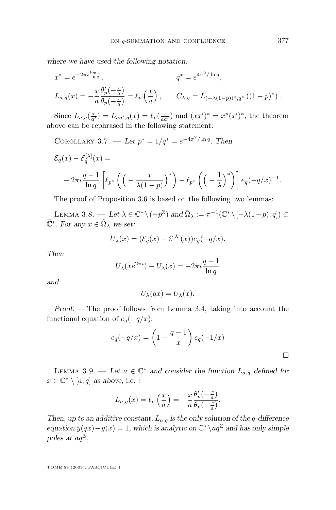<span id="page-31-0"></span>*where we have used the following notation:*

$$
x^* = e^{-2\pi i \frac{\log x}{\ln q}}, \qquad q^* = e^{4\pi^2/\ln q},
$$
  

$$
L_{a,q}(x) = -\frac{x}{a} \frac{\theta_p'(-\frac{x}{a})}{\theta_p(-\frac{x}{a})} = \ell_p\left(\frac{x}{a}\right), \qquad C_{\lambda,q} = L_{(-\lambda(1-p))^*,q^*}\left((1-p)^*\right).
$$

Since  $L_{a,q}(\frac{x}{a'}) = L_{aa',q}(x) = \ell_p(\frac{x}{aa'})$  and  $(xx')^* = x^*(x')^*$ , the theorem above can be rephrased in the following statement:

COROLLARY 3.7. — Let  $p^* = 1/q^* = e^{-4\pi^2/\ln q}$ . Then

$$
\mathcal{E}_q(x) - \mathcal{E}_q^{\{\lambda\}}(x) =
$$
  
- 2\pi i  $\frac{q-1}{\ln q} \left[ \ell_{p^*} \left( \left( -\frac{x}{\lambda(1-p)} \right)^* \right) - \ell_{p^*} \left( \left( -\frac{1}{\lambda} \right)^* \right) \right] e_q(-q/x)^{-1}.$ 

The proof of Proposition [3.6](#page-30-0) is based on the following two lemmas:

LEMMA 3.8. — Let  $\lambda \in \mathbb{C}^* \setminus (-p^{\mathbb{Z}})$  and  $\tilde{\Omega}_{\lambda} := \pi^{-1}(\mathbb{C}^* \setminus [-\lambda(1-p); q]) \subset$  $\tilde{\mathbb{C}}^*$ . For any  $x \in \tilde{\Omega}_{\lambda}$  we set:

$$
U_{\lambda}(x) = (\mathcal{E}_q(x) - \mathcal{E}^{[\lambda]}(x))e_q(-q/x).
$$

*Then*

$$
U_{\lambda}(xe^{2\pi i}) - U_{\lambda}(x) = -2\pi i \frac{q-1}{\ln q}
$$

*and*

$$
U_{\lambda}(qx) = U_{\lambda}(x).
$$

*Proof. —* The proof follows from Lemma [3.4,](#page-29-0) taking into account the functional equation of  $e_q(-q/x)$ :

$$
e_q(-q/x) = \left(1 - \frac{q-1}{x}\right) e_q(-1/x)
$$

LEMMA 3.9. — Let  $a \in \mathbb{C}^*$  and consider the function  $L_{a,q}$  defined for  $x \in \mathbb{C}^* \setminus [a; q]$  as above, i.e. :

$$
L_{a,q}(x) = \ell_p\left(\frac{x}{a}\right) = -\frac{x}{a}\frac{\theta_p'(-\frac{x}{a})}{\theta_p(-\frac{x}{a})}.
$$

*Then, up to an additive constant,* La,q *is the only solution of the* q*-difference equation*  $y(qx) - y(x) = 1$ , which is analytic on  $\mathbb{C}^* \setminus aq^{\mathbb{Z}}$  and has only simple poles at  $aq^{\mathbb{Z}}$ .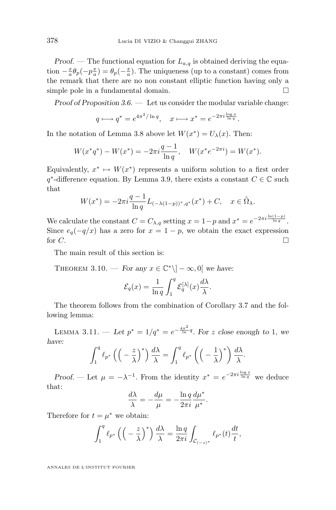<span id="page-32-0"></span>*Proof.* — The functional equation for  $L_{a,q}$  is obtained deriving the equation  $-\frac{x}{a}\theta_p(-p\frac{x}{a}) = \theta_p(-\frac{x}{a})$ . The uniqueness (up to a constant) comes from the remark that there are no non constant elliptic function having only a simple pole in a fundamental domain.

*Proof of Proposition [3.6.](#page-30-0) —* Let us consider the modular variable change:

$$
q \longmapsto q^* = e^{4\pi^2 / \ln q}, \quad x \longmapsto x^* = e^{-2\pi i \frac{\log x}{\ln q}}.
$$

In the notation of Lemma [3.8](#page-31-0) above let  $W(x^*) = U_\lambda(x)$ . Then:

$$
W(x^*q^*) - W(x^*) = -2\pi i \frac{q-1}{\ln q}, \quad W(x^*e^{-2\pi i}) = W(x^*).
$$

Equivalently,  $x^* \mapsto W(x^*)$  represents a uniform solution to a first order  $q^*$ -difference equation. By Lemma [3.9,](#page-31-0) there exists a constant  $C \in \mathbb{C}$  such that

$$
W(x^*) = -2\pi i \frac{q-1}{\ln q} L_{(-\lambda(1-p))^*,q^*}(x^*) + C, \quad x \in \tilde{\Omega}_{\lambda}.
$$

We calculate the constant  $C = C_{\lambda,q}$  setting  $x = 1-p$  and  $x^* = e^{-2\pi i \frac{\ln(1-p)}{\ln q}}$ . Since  $e_q(-q/x)$  has a zero for  $x = 1 - p$ , we obtain the exact expression for  $C$ .

The main result of this section is:

THEOREM 3.10. — *For any*  $x \in \mathbb{C}^* \setminus ]-\infty, 0[$  *we have:* 

$$
\mathcal{E}_q(x) = \frac{1}{\ln q} \int_1^q \mathcal{E}_q^{[\lambda]}(x) \frac{d\lambda}{\lambda}.
$$

The theorem follows from the combination of Corollary [3.7](#page-31-0) and the following lemma:

LEMMA 3.11. − Let  $p^* = 1/q^* = e^{-\frac{4\pi^2}{\ln}q}$ . For z close enough to 1*, we have:*

$$
\int_1^q \ell_{p^*} \left( \left( -\frac{z}{\lambda} \right)^* \right) \frac{d\lambda}{\lambda} = \int_1^q \ell_{p^*} \left( \left( -\frac{1}{\lambda} \right)^* \right) \frac{d\lambda}{\lambda}.
$$

*Proof.* — Let  $\mu = -\lambda^{-1}$ . From the identity  $x^* = e^{-2\pi i \frac{\log x}{\ln q}}$  we deduce that:

$$
\frac{d\lambda}{\lambda} = -\frac{d\mu}{\mu} = -\frac{\ln q}{2\pi i} \frac{d\mu^*}{\mu^*}.
$$

Therefore for  $t = \mu^*$  we obtain:

$$
\int_{1}^{q} \ell_{p^*} \left( \left( -\frac{z}{\lambda} \right)^* \right) \frac{d\lambda}{\lambda} = \frac{\ln q}{2\pi i} \int_{\mathcal{C}_{(-z)^*}} \ell_{p^*}(t) \frac{dt}{t},
$$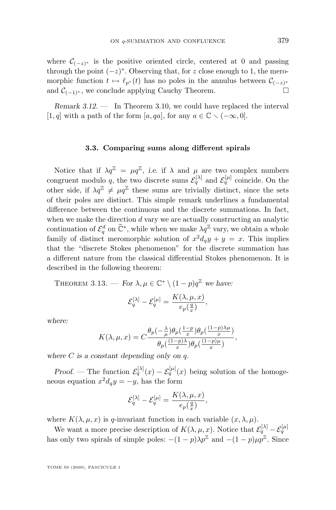where  $\mathcal{C}_{(-z)^*}$  is the positive oriented circle, centered at 0 and passing through the point  $(-z)^*$ . Observing that, for z close enough to 1, the meromorphic function  $t \mapsto \ell_{p^*} (t)$  has no poles in the annulus between  $\mathcal{C}_{(-z)^*}$ and  $\mathcal{C}_{(-1)^*}$ , we conclude applying Cauchy Theorem.

*Remark 3.12. —* In Theorem [3.10,](#page-32-0) we could have replaced the interval [1, q] with a path of the form [a, qa], for any  $a \in \mathbb{C} \setminus (-\infty, 0]$ .

#### **3.3. Comparing sums along different spirals**

Notice that if  $\lambda q^{\mathbb{Z}} = \mu q^{\mathbb{Z}}$ , *i.e.* if  $\lambda$  and  $\mu$  are two complex numbers congruent modulo q, the two discrete sums  $\mathcal{E}_q^{[\lambda]}$  and  $\mathcal{E}_q^{[\mu]}$  coincide. On the other side, if  $\lambda q^{\mathbb{Z}} \neq \mu q^{\mathbb{Z}}$  these sums are trivially distinct, since the sets of their poles are distinct. This simple remark underlines a fundamental difference between the continuous and the discrete summations. In fact, when we make the direction  $d$  vary we are actually constructing an analytic continuation of  $\mathcal{E}_q^d$  on  $\widetilde{\mathbb{C}}^*$ , while when we make  $\lambda q^{\mathbb{Z}}$  vary, we obtain a whole family of distinct meromorphic solution of  $x^2d_qy + y = x$ . This implies that the "discrete Stokes phenomenon" for the discrete summation has a different nature from the classical differential Stokes phenomenon. It is described in the following theorem:

THEOREM 3.13. — *For*  $\lambda, \mu \in \mathbb{C}^* \setminus (1-p)q^{\mathbb{Z}}$  we have:

$$
\mathcal{E}_{q}^{[\lambda]}-\mathcal{E}_{q}^{[\mu]}=\frac{K(\lambda,\mu,x)}{e_{p}(\frac{q}{x})},
$$

*where:*

$$
K(\lambda, \mu, x) = C \frac{\theta_p(-\frac{\lambda}{\mu})\theta_p(\frac{1-p}{x})\theta_p(\frac{(1-p)\lambda\mu}{x})}{\theta_p(\frac{(1-p)\lambda}{x})\theta_p(\frac{(1-p)\mu}{x})},
$$

*where* C *is a constant depending only on* q*.*

*Proof.* — The function  $\mathcal{E}_q^{[\lambda]}(x) - \mathcal{E}_q^{[\mu]}(x)$  being solution of the homogeneous equation  $x^2 d_q y = -y$ , has the form

$$
\mathcal{E}_q^{[\lambda]}-\mathcal{E}_q^{[\mu]}=\frac{K(\lambda,\mu,x)}{e_p(\frac{q}{x})},
$$

where  $K(\lambda, \mu, x)$  is q-invariant function in each variable  $(x, \lambda, \mu)$ .

We want a more precise description of  $K(\lambda, \mu, x)$ . Notice that  $\mathcal{E}_q^{[\lambda]} - \mathcal{E}_q^{[\mu]}$ has only two spirals of simple poles:  $-(1-p)\lambda p^{\mathbb{Z}}$  and  $-(1-p)\mu p^{\mathbb{Z}}$ . Since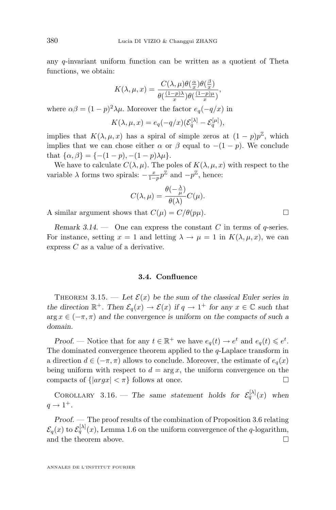any q-invariant uniform function can be written as a quotient of Theta functions, we obtain:

$$
K(\lambda, \mu, x) = \frac{C(\lambda, \mu)\theta(\frac{\alpha}{x})\theta(\frac{\beta}{x})}{\theta(\frac{(1-p)\mu}{x})\theta(\frac{(1-p)\mu}{x})},
$$

where  $\alpha\beta = (1-p)^2\lambda\mu$ . Moreover the factor  $e_q(-q/x)$  in

$$
K(\lambda, \mu, x) = e_q(-q/x)(\mathcal{E}_q^{[\lambda]} - \mathcal{E}_q^{[\mu]}),
$$

implies that  $K(\lambda, \mu, x)$  has a spiral of simple zeros at  $(1-p)p^{\mathbb{Z}}$ , which implies that we can chose either  $\alpha$  or  $\beta$  equal to  $-(1 - p)$ . We conclude that  $\{\alpha, \beta\} = \{-(1-p), -(1-p)\lambda\mu\}.$ 

We have to calculate  $C(\lambda, \mu)$ . The poles of  $K(\lambda, \mu, x)$  with respect to the variable  $\lambda$  forms two spirals:  $-\frac{x}{1-p}p^{\mathbb{Z}}$  and  $-p^{\mathbb{Z}}$ , hence:

$$
C(\lambda, \mu) = \frac{\theta(-\frac{\lambda}{\mu})}{\theta(\lambda)} C(\mu).
$$

A similar argument shows that  $C(\mu) = C/\theta(p\mu)$ .

*Remark 3.14.* — One can express the constant C in terms of q-series. For instance, setting  $x = 1$  and letting  $\lambda \to \mu = 1$  in  $K(\lambda, \mu, x)$ , we can express C as a value of a derivative.

#### **3.4. Confluence**

THEOREM 3.15. — Let  $\mathcal{E}(x)$  be the sum of the classical Euler series in *the direction*  $\mathbb{R}^+$ *. Then*  $\mathcal{E}_q(x) \to \mathcal{E}(x)$  *if*  $q \to 1^+$  *for any*  $x \in \mathbb{C}$  *such that*  $\arg x \in (-\pi, \pi)$  and the convergence is uniform on the compacts of such a *domain.*

*Proof.* — Notice that for any  $t \in \mathbb{R}^+$  we have  $e_q(t) \to e^t$  and  $e_q(t) \leq e^t$ . The dominated convergence theorem applied to the  $q$ -Laplace transform in a direction  $d \in (-\pi, \pi)$  allows to conclude. Moreover, the estimate of  $e_q(x)$ being uniform with respect to  $d = \arg x$ , the uniform convergence on the compacts of  $\{|argx| < \pi\}$  follows at once.

COROLLARY 3.16. – The same statement holds for  $\mathcal{E}_q^{[\lambda]}(x)$  when  $q \rightarrow 1^+$ .

*Proof.* — The proof results of the combination of Proposition [3.6](#page-30-0) relating  $\mathcal{E}_q(x)$  to  $\mathcal{E}_q^{[\lambda]}(x)$ , Lemma [1.6](#page-11-0) on the uniform convergence of the q-logarithm, and the theorem above.  $\Box$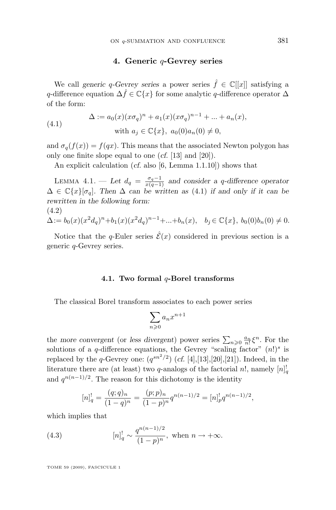#### **4. Generic** q**-Gevrey series**

<span id="page-35-0"></span>We call *generic* q-Gevrey series a power series  $\hat{f} \in \mathbb{C}[[x]]$  satisfying a q-difference equation  $\Delta \hat{f} \in \mathbb{C}\{x\}$  for some analytic q-difference operator  $\Delta$ of the form:

(4.1) 
$$
\Delta := a_0(x)(x\sigma_q)^n + a_1(x)(x\sigma_q)^{n-1} + ... + a_n(x),
$$
  
with  $a_j \in \mathbb{C}\{x\}, a_0(0)a_n(0) \neq 0,$ 

and  $\sigma_q(f(x)) = f(qx)$ . This means that the associated Newton polygon has only one finite slope equal to one (*cf.* [\[13\]](#page-45-0) and [\[20\]](#page-46-0)).

An explicit calculation (*cf.* also [\[6,](#page-45-0) Lemma 1.1.10]) shows that

LEMMA 4.1. — Let  $d_q = \frac{\sigma_q - 1}{x(q-1)}$  and consider a q-difference operator ∆ ∈ C{x}[σq]*. Then* ∆ *can be written as* (4.1) *if and only if it can be rewritten in the following form:* (4.2)

$$
\Delta := b_0(x)(x^2d_q)^n + b_1(x)(x^2d_q)^{n-1} + \ldots + b_n(x), \quad b_j \in \mathbb{C}\{x\}, \ b_0(0)b_n(0) \neq 0.
$$

Notice that the q-Euler series  $\hat{\mathcal{E}}(x)$  considered in previous section is a generic q-Gevrey series.

#### **4.1. Two formal** q**-Borel transforms**

The classical Borel transform associates to each power series

$$
\sum_{n\geqslant 0} a_n x^{n+1}
$$

the *more convergent* (or *less divergent*) power series  $\sum_{n\geqslant 0} \frac{a_n}{n!} \xi^n$ . For the solutions of a q-difference equations, the Gevrey "scaling factor"  $(n!)^s$  is replaced by the *q*-Gevrey one:  $(q^{sn^2/2})$  (*cf.* [\[4\]](#page-45-0),[\[13\]](#page-45-0),[\[20\]](#page-46-0),[\[21\]](#page-46-0)). Indeed, in the literature there are (at least) two q-analogs of the factorial n!, namely  $[n]_q^!$ and  $q^{n(n-1)/2}$ . The reason for this dichotomy is the identity

$$
[n]_q^! = \frac{(q;q)_n}{(1-q)^n} = \frac{(p;p)_n}{(1-p)^n} q^{n(n-1)/2} = [n]_p^! q^{n(n-1)/2},
$$

which implies that

(4.3) 
$$
[n]_q^! \sim \frac{q^{n(n-1)/2}}{(1-p)^n}
$$
, when  $n \to +\infty$ .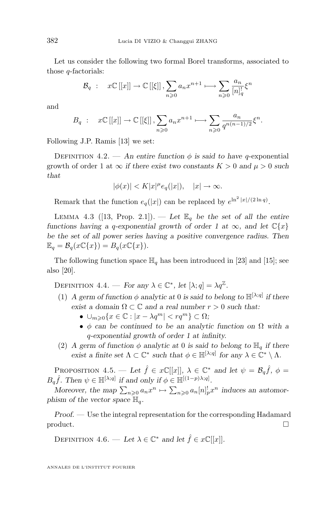Let us consider the following two formal Borel transforms, associated to those q-factorials:

$$
\mathcal{B}_q : x \in [[x]] \to \mathbb{C}[[\xi]], \sum_{n \geq 0} a_n x^{n+1} \longmapsto \sum_{n \geq 0} \frac{a_n}{[n]_q^!} \xi^n
$$

and

$$
B_q : x\mathbb{C}[[x]] \to \mathbb{C}[[\xi]], \sum_{n\geqslant 0} a_n x^{n+1} \longmapsto \sum_{n\geqslant 0} \frac{a_n}{q^{n(n-1)/2}} \xi^n.
$$

Following J.P. Ramis [\[13\]](#page-45-0) we set:

DEFINITION  $4.2.$  — An entire function  $\phi$  is said to have q-exponential growth of order 1 at  $\infty$  *if there exist two constants*  $K > 0$  *and*  $\mu > 0$  *such that*

$$
|\phi(x)| < K|x|^{\mu} e_q(|x|), \quad |x| \to \infty.
$$

Remark that the function  $e_q(|x|)$  can be replaced by  $e^{\ln^2 |x|/(2 \ln q)}$ .

LEMMA 4.3 ([\[13,](#page-45-0) Prop. 2.1]). — Let  $\mathbb{E}_q$  be the set of all the entire *functions having a q-exponential growth of order 1 at*  $\infty$ *, and let*  $\mathbb{C}\lbrace x \rbrace$ *be the set of all power series having a positive convergence radius. Then*  $\mathbb{E}_q = \mathcal{B}_q(x\mathbb{C}\{x\}) = B_q(x\mathbb{C}\{x\}).$ 

The following function space  $\mathbb{H}_q$  has been introduced in [\[23\]](#page-46-0) and [\[15\]](#page-45-0); see also [\[20\]](#page-46-0).

DEFINITION 4.4. — *For any*  $\lambda \in \mathbb{C}^*$ , *let*  $[\lambda; q] = \lambda q^{\mathbb{Z}}$ *.* 

- (1) *A germ of function*  $\phi$  *analytic at* 0 *is said to belong to*  $\mathbb{H}^{[\lambda;q]}$  *if there exist a domain*  $\Omega \subset \mathbb{C}$  *and a real number*  $r > 0$  *such that:* 
	- $\bullet \cup_{m\geq 0} \{x \in \mathbb{C} : |x \lambda q^m| < r q^m\} \subset \Omega;$
	- φ *can be continued to be an analytic function on* Ω *with a* q*-exponential growth of order 1 at infinity.*
- (2) *A germ of function*  $\phi$  *analytic at* 0 *is said to belong to*  $\mathbb{H}_q$  *if there exist a finite set*  $\Lambda \subset \mathbb{C}^*$  *such that*  $\phi \in \mathbb{H}^{[\lambda; q]}$  *for any*  $\lambda \in \mathbb{C}^* \setminus \Lambda$ *.*

PROPOSITION 4.5. — Let  $\hat{f} \in x\mathbb{C}[[x]], \lambda \in \mathbb{C}^*$  and let  $\psi = \mathcal{B}_q\hat{f}, \phi =$  $B_q \hat{f}$ . Then  $\psi \in \mathbb{H}^{[\lambda;q]}$  if and only if  $\phi \in \mathbb{H}^{[(1-p)\lambda;q]}$ .

*Moreover, the map*  $\sum_{n\geqslant 0} a_n x^n \mapsto \sum_{n\geqslant 0} a_n [n]^!_p x^n$  *induces an automorphism of the vector space*  $\mathbb{H}_q$ .

*Proof. —* Use the integral representation for the corresponding Hadamard  $\Box$ 

DEFINITION 4.6. — Let  $\lambda \in \mathbb{C}^*$  and let  $\hat{f} \in x\mathbb{C}[[x]]$ .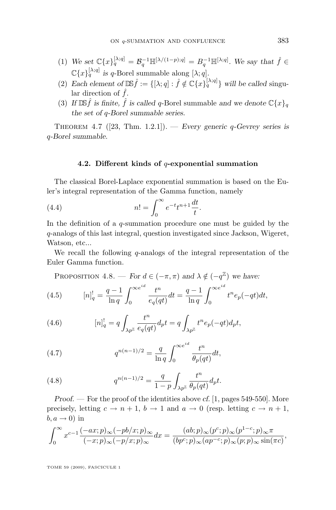- <span id="page-37-0"></span>(1) We set  $\mathbb{C}\lbrace x\rbrace_q^{[\lambda;q]} = \mathcal{B}_q^{-1} \mathbb{H}^{[\lambda/(1-p);q]} = B_q^{-1} \mathbb{H}^{[\lambda;q]}$ . We say that  $\hat{f} \in$  $\mathbb{C}\{x\}^{\lfloor \lambda; q \rfloor}_q$  is q-Borel summable along  $[\lambda; q]$ .
- (2) *Each element of*  $\mathbb{DS}\hat{f} := \{[\lambda; q] : \hat{f} \notin \mathbb{C}\{x\}\{q^{|\lambda|; q|}\}\$  will be called singular direction of  $\hat{f}$ .
- (3) If  $\mathbb{DS}\hat{f}$  *is finite,*  $\hat{f}$  *is called q*-Borel summable *and we denote*  $\mathbb{C}\{x\}_q$ *the set of* q*-Borel summable series.*

Theorem 4.7 ([\[23,](#page-46-0) Thm. 1.2.1]). — *Every generic* q*-Gevrey series is* q*-Borel summable.*

#### **4.2. Different kinds of** q**-exponential summation**

The classical Borel-Laplace exponential summation is based on the Euler's integral representation of the Gamma function, namely

(4.4) 
$$
n! = \int_0^\infty e^{-t} t^{n+1} \frac{dt}{t}.
$$

In the definition of a  $q$ -summation procedure one must be guided by the q-analogs of this last integral, question investigated since Jackson, Wigeret, Watson, etc...

We recall the following  $q$ -analogs of the integral representation of the Euler Gamma function.

PROPOSITION 4.8. — For 
$$
d \in (-\pi, \pi)
$$
 and  $\lambda \notin (-q^{\mathbb{Z}})$  we have:

(4.5) 
$$
[n]_q^! = \frac{q-1}{\ln q} \int_0^{\infty e^{id}} \frac{t^n}{e_q(qt)} dt = \frac{q-1}{\ln q} \int_0^{\infty e^{id}} t^n e_p(-qt) dt,
$$

(4.6) 
$$
[n]_q^! = q \int_{\lambda p^{\mathbb{Z}}} \frac{t^n}{e_q(qt)} d_p t = q \int_{\lambda p^{\mathbb{Z}}} t^n e_p(-qt) d_p t,
$$

(4.7) 
$$
q^{n(n-1)/2} = \frac{q}{\ln q} \int_0^{\infty e^{id}} \frac{t^n}{\theta_p(qt)} dt,
$$

(4.8) 
$$
q^{n(n-1)/2} = \frac{q}{1-p} \int_{\lambda p^{\mathbb{Z}}} \frac{t^n}{\theta_p(qt)} d_p t.
$$

*Proof. —* For the proof of the identities above *cf.* [\[1,](#page-45-0) pages 549-550]. More precisely, letting  $c \to n+1$ ,  $b \to 1$  and  $a \to 0$  (resp. letting  $c \to n+1$ ,  $b, a \rightarrow 0$ ) in

$$
\int_0^\infty x^{c-1} \frac{(-ax;p)_\infty (-pb/x;p)_\infty}{(-x;p)_\infty (-p/x;p)_\infty} dx = \frac{(ab;p)_\infty (p^c;p)_\infty (p^{1-c};p)_\infty \pi}{(bp^c;p)_\infty (ap^{-c};p)_\infty (p;p)_\infty \sin(\pi c)},
$$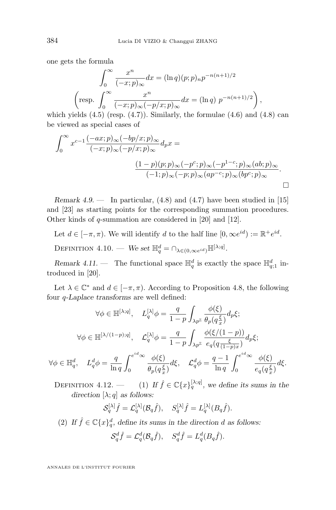<span id="page-38-0"></span>one gets the formula

$$
\int_0^\infty \frac{x^n}{(-x;p)_\infty} dx = (\ln q)(p;p)_n p^{-n(n+1)/2}
$$
  
\n
$$
\left(\text{resp. } \int_0^\infty \frac{x^n}{(-x;p)_\infty (-p/x;p)_\infty} dx = (\ln q) p^{-n(n+1)/2}\right),
$$

which yields  $(4.5)$  (resp.  $(4.7)$ ). Similarly, the formulae  $(4.6)$  and  $(4.8)$  can be viewed as special cases of

$$
\int_0^\infty x^{c-1} \frac{(-ax;p)_\infty (-bp/x;p)_\infty}{(-x;p)_\infty (-p/x;p)_\infty} d_p x =
$$
  

$$
\frac{(1-p)(p;p)_\infty (-p^c;p)_\infty (-p^{1-c};p)_\infty (ab;p)_\infty}{(-1;p)_\infty (-p;p)_\infty (ap^{-c};p)_\infty (bp^c;p)_\infty}.
$$

*Remark 4.9.* — In particular, [\(4.8\)](#page-37-0) and [\(4.7\)](#page-37-0) have been studied in [\[15\]](#page-45-0) and [\[23\]](#page-46-0) as starting points for the corresponding summation procedures. Other kinds of q-summation are considered in [\[20\]](#page-46-0) and [\[12\]](#page-45-0).

Let  $d \in [-\pi, \pi)$ . We will identify d to the half line  $[0, \infty e^{id}] := \mathbb{R}^+ e^{id}$ .

DEFINITION 4.10. — We set  $\mathbb{H}_q^d = \cap_{\lambda \in (0, \infty e^{id})} \mathbb{H}^{[\lambda; q]}$ .

*Remark 4.11.* – The functional space  $\mathbb{H}_q^d$  is exactly the space  $\mathbb{H}_{q;1}^d$  introduced in [\[20\]](#page-46-0).

Let  $\lambda \in \mathbb{C}^*$  and  $d \in [-\pi, \pi)$ . According to Proposition [4.8,](#page-37-0) the following four q*-Laplace transforms* are well defined:

$$
\forall \phi \in \mathbb{H}^{[\lambda;q]}, \quad L_q^{[\lambda]}\phi = \frac{q}{1-p} \int_{\lambda p^{\mathbb{Z}}} \frac{\phi(\xi)}{\theta_p(q_x^{\xi})} d_p \xi;
$$

$$
\forall \phi \in \mathbb{H}^{[\lambda/(1-p);q]}, \quad \mathcal{L}_q^{[\lambda]} \phi = \frac{q}{1-p} \int_{\lambda p^{\mathbb{Z}}} \frac{\phi(\xi/(1-p))}{e_q(q\frac{\xi}{(1-p)x})} d_p \xi;
$$

$$
\forall \phi \in \mathbb{H}_q^d, \quad L_q^d \phi = \frac{q}{\ln q} \int_0^{e^{id}\infty} \frac{\phi(\xi)}{\theta_p(q_x^{\xi})} d\xi, \quad \mathcal{L}_q^d \phi = \frac{q-1}{\ln q} \int_0^{e^{id}\infty} \frac{\phi(\xi)}{e_q(q_x^{\xi})} d\xi.
$$

DEFINITION 4.12. — (1) If  $\hat{f} \in \mathbb{C}\lbrace x \rbrace_q^{[\lambda;q]}$ , we define its sums in the *direction*  $[\lambda; q]$  *as follows:* 

$$
\mathcal{S}_q^{[\lambda]} \hat{f} = \mathcal{L}_q^{[\lambda]} (\mathcal{B}_q \hat{f}), \quad S_q^{[\lambda]} \hat{f} = L_q^{[\lambda]} (B_q \hat{f}).
$$

(2) If  $\hat{f} \in \mathbb{C}\lbrace x \rbrace_q^d$ , define its sums in the direction d as follows:

$$
\mathcal{S}_q^d \hat{f} = \mathcal{L}_q^d(\mathcal{B}_q \hat{f}), \quad \mathcal{S}_q^d \hat{f} = L_q^d(B_q \hat{f}).
$$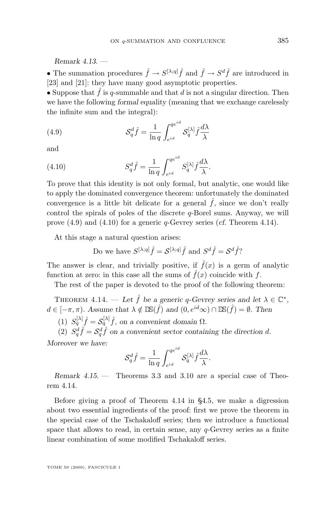<span id="page-39-0"></span>*Remark 4.13. —*

• The summation procedures  $\hat{f} \to S^{[\lambda;q]} \hat{f}$  and  $\hat{f} \to S^d \hat{f}$  are introduced in [\[23\]](#page-46-0) and [\[21\]](#page-46-0): they have many good asymptotic properties.

• Suppose that  $\hat{f}$  is q-summable and that d is not a singular direction. Then we have the following *formal* equality (meaning that we exchange carelessly the infinite sum and the integral):

(4.9) 
$$
\mathcal{S}_q^d \hat{f} = \frac{1}{\ln q} \int_{e^{id}}^{qe^{id}} \mathcal{S}_q^{[\lambda]} \hat{f} \frac{d\lambda}{\lambda}
$$

and

(4.10) 
$$
S_q^d \hat{f} = \frac{1}{\ln q} \int_{e^{id}}^{q e^{id}} S_q^{[\lambda]} \hat{f} \frac{d\lambda}{\lambda}.
$$

To prove that this identity is not only formal, but analytic, one would like to apply the dominated convergence theorem: unfortunately the dominated convergence is a little bit delicate for a general  $\hat{f}$ , since we don't really control the spirals of poles of the discrete  $q$ -Borel sums. Anyway, we will prove (4.9) and (4.10) for a generic q-Gevrey series (*cf.* Theorem 4.14).

At this stage a natural question arises:

Do we have 
$$
S^{[\lambda;q]} \hat{f} = S^{[\lambda;q]} \hat{f}
$$
 and  $S^d \hat{f} = S^d \hat{f}$ ?

The answer is clear, and trivially positive, if  $\hat{f}(x)$  is a germ of analytic function at zero: in this case all the sums of  $\hat{f}(x)$  coincide with f.

The rest of the paper is devoted to the proof of the following theorem:

THEOREM 4.14. — Let  $\hat{f}$  be a generic q-Gevrey series and let  $\lambda \in \mathbb{C}^*$ ,  $d \in [-\pi, \pi)$ . Assume that  $\lambda \notin \mathbb{DS}(\hat{f})$  and  $(0, e^{id} \infty) \cap \mathbb{DS}(\hat{f}) = \emptyset$ . Then

(1)  $S_q^{[\lambda]} \hat{f} = S_q^{[\lambda]} \hat{f}$ , on a convenient domain  $\Omega$ .

(2)  $S_q^d \hat{f} = S_q^d \hat{f}$  on a convenient sector containing the direction d. *Moreover we have:*

$$
\mathcal{S}_q^d \hat{f} = \frac{1}{\ln q} \int_{e^{id}}^{qe^{id}} \mathcal{S}_q^{[\lambda]} \hat{f} \frac{d\lambda}{\lambda}.
$$

*Remark 4.15. —* Theorems [3.3](#page-29-0) and [3.10](#page-32-0) are a special case of Theorem 4.14.

Before giving a proof of Theorem 4.14 in [§4.5,](#page-44-0) we make a digression about two essential ingredients of the proof: first we prove the theorem in the special case of the Tschakaloff series; then we introduce a functional space that allows to read, in certain sense, any  $q$ -Gevrey series as a finite linear combination of some modified Tschakaloff series.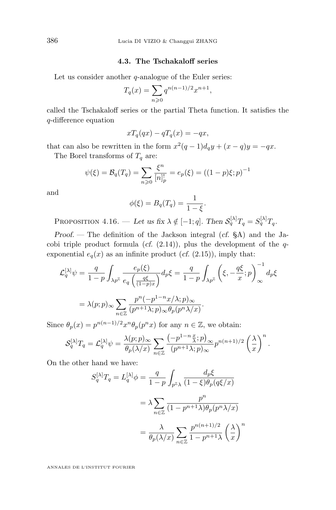#### **4.3. The Tschakaloff series**

<span id="page-40-0"></span>Let us consider another  $q$ -analogue of the Euler series:

$$
T_q(x) = \sum_{n \geq 0} q^{n(n-1)/2} x^{n+1},
$$

called the Tschakaloff series or the partial Theta function. It satisfies the q-difference equation

$$
xT_q(qx) - qT_q(x) = -qx,
$$

that can also be rewritten in the form  $x^2(q-1)d_qy + (x-q)y = -qx$ . The Borel transforms of  $T_q$  are:

$$
\psi(\xi) = \mathcal{B}_q(T_q) = \sum_{n \geq 0} \frac{\xi^n}{[n]_p^!} = e_p(\xi) = ((1 - p)\xi; p)^{-1}
$$

and

$$
\phi(\xi) = B_q(T_q) = \frac{1}{1-\xi}.
$$

PROPOSITION 4.16. — Let us fix  $\lambda \notin [-1; q]$ . Then  $S_q^{[\lambda]}T_q = S_q^{[\lambda]}T_q$ .

*Proof. —* The definition of the Jackson integral (*cf.* [§A\)](#page-20-0) and the Jacobi triple product formula  $(cf. (2.14))$  $(cf. (2.14))$  $(cf. (2.14))$ , plus the development of the  $q$ exponential  $e_q(x)$  as an infinite product (*cf.* [\(2.15\)](#page-27-0)), imply that:

$$
\mathcal{L}_q^{[\lambda]}\psi = \frac{q}{1-p} \int_{\lambda p^{\mathbb{Z}}} \frac{e_p(\xi)}{e_q \left(\frac{q\xi}{(1-p)x}\right)} d_p \xi = \frac{q}{1-p} \int_{\lambda p^{\mathbb{Z}}} \left(\xi, -\frac{q\xi}{x}; p\right)_{\infty}^{-1} d_p \xi
$$

$$
= \lambda(p; p)_{\infty} \sum_{n \in \mathbb{Z}} \frac{p^n(-p^{1-n}x/\lambda; p)_{\infty}}{(p^{n+1}\lambda; p)_{\infty} \theta_p(p^n \lambda/x)}.
$$

Since  $\theta_p(x) = p^{n(n-1)/2} x^n \theta_p(p^n x)$  for any  $n \in \mathbb{Z}$ , we obtain:

$$
\mathcal{S}_q^{[\lambda]}T_q = \mathcal{L}_q^{[\lambda]}\psi = \frac{\lambda(p;p)_{\infty}}{\theta_p(\lambda/x)} \sum_{n \in \mathbb{Z}} \frac{\left(-p^{1-n}\frac{x}{\lambda};p\right)_{\infty}}{\left(p^{n+1}\lambda;p\right)_{\infty}} p^{n(n+1)/2} \left(\frac{\lambda}{x}\right)^n.
$$

On the other hand we have:

$$
S_q^{[\lambda]}T_q = L_q^{[\lambda]}\phi = \frac{q}{1-p} \int_{p^{\mathbb{Z}}\lambda} \frac{d_p\xi}{(1-\xi)\theta_p(q\xi/x)}
$$

$$
= \lambda \sum_{n\in\mathbb{Z}} \frac{p^n}{(1-p^{n+1}\lambda)\theta_p(p^n\lambda/x)}
$$

$$
= \frac{\lambda}{\theta_p(\lambda/x)} \sum_{n\in\mathbb{Z}} \frac{p^{n(n+1)/2}}{1-p^{n+1}\lambda} \left(\frac{\lambda}{x}\right)^n
$$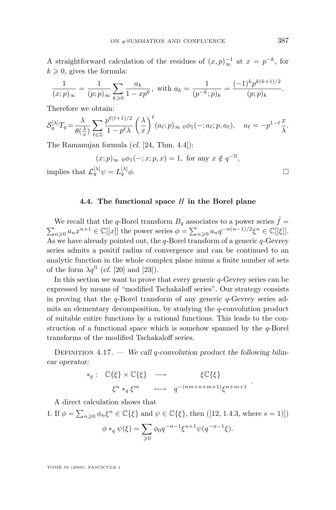A straightforward calculation of the residues of  $(x, p)_{\infty}^{-1}$  at  $x = p^{-k}$ , for  $k \geqslant 0$ , gives the formula:

$$
\frac{1}{(x;p)_{\infty}} = \frac{1}{(p;p)_{\infty}} \sum_{k \geq 0} \frac{a_k}{1 - xp^k}, \text{ with } a_k = \frac{1}{(p^{-k};p)_k} = \frac{(-1)^k p^{k(k+1)/2}}{(p;p)_k}.
$$

Therefore we obtain:

$$
\mathcal{S}_q^{[\lambda]}T_q = \frac{\lambda}{\theta(\frac{\lambda}{x})} \sum_{\ell \in \mathbb{Z}} \frac{p^{\ell(\ell+1)/2}}{1 - p^{\ell} \lambda} \left(\frac{\lambda}{x}\right)^{\ell} (a_{\ell}; p)_{\infty} \mathbf{0} \phi_1(-; a_{\ell}; p, a_{\ell}), \quad a_{\ell} = -p^{1-\ell} \frac{x}{\lambda}.
$$

The Ramanujan formula (*cf.* [\[24,](#page-46-0) Thm. 4.4]):

$$
(x;p)_{\infty} \circ \phi_1(-;x;p,x) = 1, \text{ for any } x \notin q^{-\mathbb{N}},
$$
 implies that  $\mathcal{L}_q^{[\lambda]}\psi = L_q^{[\lambda]}\phi.$ 

#### **4.4. The functional space** H **in the Borel plane**

We recall that the q-Borel transform  $B_q$  associates to a power series  $\hat{f}$  =  $\sum_{n\geqslant 0} a_n x^{n+1} \in \mathbb{C}[[x]]$  the power series  $\phi = \sum_{n\geqslant 0} a_n q^{-n(n-1)/2} \xi^n \in \mathbb{C}[[\xi]].$ As we have already pointed out, the  $q$ -Borel transform of a generic  $q$ -Gevrey series admits a positif radius of convergence and can be continued to an analytic function in the whole complex plane minus a finite number of sets of the form  $\lambda q^{\mathbb{N}}$  (*cf.* [\[20\]](#page-46-0) and [\[23\]](#page-46-0)).

In this section we want to prove that every generic  $q$ -Gevrey series can be expressed by means of "modified Tschakaloff series". Our strategy consists in proving that the  $q$ -Borel transform of any generic  $q$ -Gevrey series admits an elementary decomposition, by studying the  $q$ -convolution product of suitable entire functions by a rational functions. This leads to the construction of a functional space which is somehow spanned by the  $q$ -Borel transforms of the modified Tschakaloff series.

DEFINITION 4.17. — We call q-convolution product the following bilin*ear operator:*

$$
\begin{array}{rcl}\n\ast_q : & \mathbb{C}\{\xi\} \times \mathbb{C}\{\xi\} \longrightarrow & \xi \mathbb{C}\{\xi\} \\
& \xi^n \ast_q \xi^m \longmapsto q^{-(nm+n+m+1)} \xi^{n+m+1}\n\end{array}
$$

.

A direct calculation shows that

1. If 
$$
\phi = \sum_{n\geq 0} \phi_n \xi^n \in \mathbb{C}\{\xi\}
$$
 and  $\psi \in \mathbb{C}\{\xi\}$ , then ([12, 1.4.3, where  $s = 1$ )])

$$
\phi *_{q} \psi(\xi) = \sum_{\geq 0} \phi_0 q^{-n-1} \xi^{n+1} \psi(q^{-n-1} \xi).
$$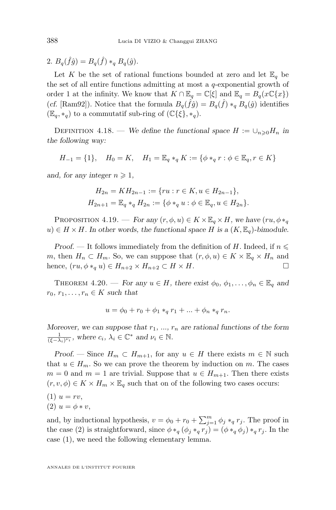<span id="page-42-0"></span>2.  $B_q(\hat{f}\hat{g}) = B_q(\hat{f}) *_{q} B_q(\hat{g})$ .

Let K be the set of rational functions bounded at zero and let  $\mathbb{E}_q$  be the set of all entire functions admitting at most a  $q$ -exponential growth of order 1 at the infinity. We know that  $K \cap \mathbb{E}_q = \mathbb{C}[\xi]$  and  $\mathbb{E}_q = B_q(x \mathbb{C}\{x\})$ (*cf.* [Ram92]). Notice that the formula  $B_q(\hat{f}\hat{g}) = B_q(\hat{f}) *_{q} B_q(\hat{g})$  identifies  $(\mathbb{E}_q, *_{q})$  to a commutatif sub-ring of  $(\mathbb{C}\{\xi\}, *_{q})$ .

DEFINITION 4.18. — *We define the functional space*  $H := \bigcup_{n\geq 0} H_n$  *in the following way:*

$$
H_{-1} = \{1\}, \quad H_0 = K, \quad H_1 = \mathbb{E}_q *_q K := \{\phi *_q r : \phi \in \mathbb{E}_q, r \in K\}
$$

*and, for any integer*  $n \geq 1$ ,

$$
H_{2n} = KH_{2n-1} := \{ ru : r \in K, u \in H_{2n-1} \},
$$
  

$$
H_{2n+1} = \mathbb{E}_q *_q H_{2n} := \{ \phi *_q u : \phi \in \mathbb{E}_q, u \in H_{2n} \}.
$$

PROPOSITION 4.19. — *For any*  $(r, \phi, u) \in K \times \mathbb{E}_q \times H$ , we have  $(ru, \phi *_{q}$  $u)$  ∈  $H \times H$ *.* In other words, the functional space H is a  $(K, \mathbb{E}_q)$ -bimodule.

*Proof.* — It follows immediately from the definition of H. Indeed, if  $n \leq$ m, then  $H_n \subset H_m$ . So, we can suppose that  $(r, \phi, u) \in K \times \mathbb{E}_q \times H_n$  and hence,  $(ru, \phi *_q u) \in H_{n+2} \times H_{n+2} \subset H \times H$ .

THEOREM 4.20. — *For any*  $u \in H$ *, there exist*  $\phi_0, \phi_1, \ldots, \phi_n \in \mathbb{E}_q$  and  $r_0, r_1, \ldots, r_n \in K$  *such that* 

$$
u = \phi_0 + r_0 + \phi_1 *_{q} r_1 + \dots + \phi_n *_{q} r_n.
$$

*Moreover, we can suppose that*  $r_1$ , ...,  $r_n$  *are rational functions of the form*  $\frac{1}{(\xi - \lambda_i)^{\nu_i}}$ , where  $c_i$ ,  $\lambda_i \in \mathbb{C}^*$  and  $\nu_i \in \mathbb{N}$ .

*Proof.* — Since  $H_m \subset H_{m+1}$ , for any  $u \in H$  there exists  $m \in \mathbb{N}$  such that  $u \in H_m$ . So we can prove the theorem by induction on m. The cases  $m = 0$  and  $m = 1$  are trivial. Suppose that  $u \in H_{m+1}$ . Then there exists  $(r, v, \phi) \in K \times H_m \times \mathbb{E}_q$  such that on of the following two cases occurs:

 $(1) u = rv,$ (2)  $u = \phi * v$ ,

and, by inductional hypothesis,  $v = \phi_0 + r_0 + \sum_{j=1}^m \phi_j *_q r_j$ . The proof in the case (2) is straightforward, since  $\phi *_q (\phi_j *_q r_j) = (\phi *_q \phi_j *_q r_j$ . In the case (1), we need the following elementary lemma.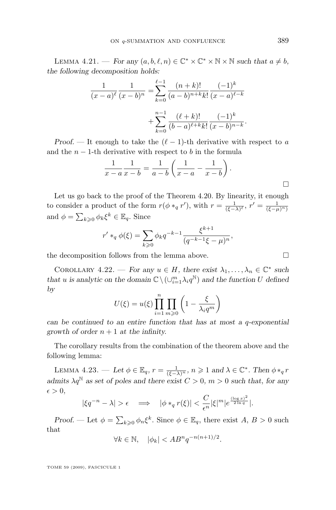LEMMA 4.21. — *For any*  $(a, b, \ell, n) \in \mathbb{C}^* \times \mathbb{C}^* \times \mathbb{N} \times \mathbb{N}$  such that  $a \neq b$ , *the following decomposition holds:*

$$
\frac{1}{(x-a)^{\ell}} \frac{1}{(x-b)^n} = \sum_{k=0}^{\ell-1} \frac{(n+k)!}{(a-b)^{n+k}k!} \frac{(-1)^k}{(x-a)^{\ell-k}} + \sum_{k=0}^{n-1} \frac{(\ell+k)!}{(b-a)^{\ell+k}k!} \frac{(-1)^k}{(x-b)^{n-k}}.
$$

*Proof.* — It enough to take the  $(\ell - 1)$ -th derivative with respect to a and the  $n-1$ -th derivative with respect to b in the formula

$$
\frac{1}{x-a} \frac{1}{x-b} = \frac{1}{a-b} \left( \frac{1}{x-a} - \frac{1}{x-b} \right).
$$

Let us go back to the proof of the Theorem [4.20.](#page-42-0) By linearity, it enough to consider a product of the form  $r(\phi *_{q} r')$ , with  $r = \frac{1}{(\xi - \lambda)^{\ell}}$ ,  $r' = \frac{1}{(\xi - \mu)^{n}}$ and  $\phi = \sum_{k\geqslant 0} \phi_k \xi^k \in \mathbb{E}_q$ . Since

$$
r' *_{q} \phi(\xi) = \sum_{k \geqslant 0} \phi_{k} q^{-k-1} \frac{\xi^{k+1}}{(q^{-k-1}\xi - \mu)^{n}},
$$

the decomposition follows from the lemma above.  $\Box$ 

COROLLARY 4.22. — *For any*  $u \in H$ *, there exist*  $\lambda_1, \ldots, \lambda_n \in \mathbb{C}^*$  such *that u is analytic on the domain*  $\mathbb{C} \setminus (\cup_{i=1}^{m} \lambda_i q^{\mathbb{N}})$  *and the function* U defined *by*

$$
U(\xi) = u(\xi) \prod_{i=1}^{n} \prod_{m \geqslant 0} \left( 1 - \frac{\xi}{\lambda_i q^m} \right)
$$

*can be continued to an entire function that has at most a* q*-exponential growth of order*  $n + 1$  *at the infinity.* 

The corollary results from the combination of the theorem above and the following lemma:

LEMMA 4.23. — Let  $\phi \in \mathbb{E}_q$ ,  $r = \frac{1}{(\xi - \lambda)^n}$ ,  $n \geqslant 1$  and  $\lambda \in \mathbb{C}^*$ . Then  $\phi *_{q} r$ *admits*  $\lambda q^{\mathbb{N}}$  *as set of poles and there exist*  $C > 0$ *, m > 0 such that, for any*  $\epsilon > 0$ ,

$$
|\xi q^{-n}-\lambda|>\epsilon\quad\Longrightarrow\quad |\phi\ast_q r(\xi)|<\frac{C}{\epsilon^n}|\xi|^m|e^{\frac{(\log x)^2}{2\ln q}}|.
$$

*Proof.* — Let  $\phi = \sum_{k\geqslant 0} \phi_n \xi^k$ . Since  $\phi \in \mathbb{E}_q$ , there exist  $A, B > 0$  such that

$$
\forall k \in \mathbb{N}, \quad |\phi_k| < AB^n q^{-n(n+1)/2}.
$$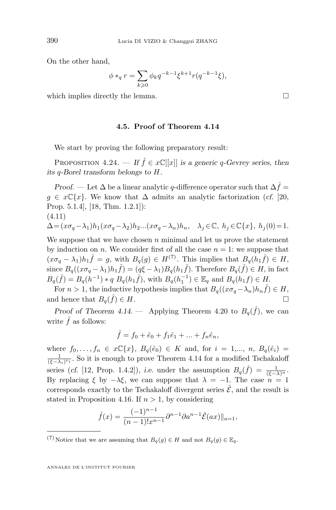On the other hand,

$$
\phi*_q r = \sum_{k \geqslant 0} \phi_k q^{-k-1} \xi^{k+1} r(q^{-k-1} \xi),
$$

which implies directly the lemma.  $\Box$ 

#### **4.5. Proof of Theorem [4.14](#page-39-0)**

We start by proving the following preparatory result:

PROPOSITION 4.24. — *If*  $\hat{f} \in x\mathbb{C}[[x]]$  *is a generic q-Gevrey series, then its* q*-Borel transform belongs to* H*.*

*Proof.* — Let  $\Delta$  be a linear analytic q-difference operator such that  $\Delta \hat{f}$  =  $g \in x\mathbb{C}\{x\}$ . We know that  $\Delta$  admits an analytic factorization (*cf.* [\[20,](#page-46-0) Prop. 5.1.4], [\[18,](#page-46-0) Thm. 1.2.1]): (4.11)

$$
\Delta\!=\!(x\sigma_q\!-\!\lambda_1)h_1(x\sigma_q\!-\!\lambda_2)h_2...(x\sigma_q\!-\!\lambda_n)h_n,\quad \lambda_j\!\in\!\mathbb{C},\;h_j\!\in\!\mathbb{C}\{x\},\;h_j(0)\!=\!1.
$$

We suppose that we have chosen  $n$  minimal and let us prove the statement by induction on n. We consider first of all the case  $n = 1$ : we suppose that  $(x\sigma_q - \lambda_1)h_1\hat{f} = g$ , with  $B_q(g) \in H^{(7)}$ . This implies that  $B_q(h_1\hat{f}) \in H$ , since  $B_q((x\sigma_q - \lambda_1)h_1\hat{f}) = (q\xi - \lambda_1)B_q(h_1\hat{f})$ . Therefore  $B_q(\hat{f}) \in H$ , in fact  $B_q(\hat{f}) = B_q(h^{-1}) * q B_q(h_1\hat{f}),$  with  $B_q(h_1^{-1}) \in \mathbb{E}_q$  and  $B_q(h_1f) \in H$ .

For  $n > 1$ , the inductive hypothesis implies that  $B_q((x\sigma_q - \lambda_n)h_n\hat{f}) \in H$ , and hence that  $B_q(\hat{f}) \in H$ .

*Proof of Theorem [4.14.](#page-39-0)* — Applying Theorem [4.20](#page-42-0) to  $B_q(\hat{f})$ , we can write  $\hat{f}$  as follows:

$$
\hat{f} = f_0 + \hat{e}_0 + f_1 \hat{e}_1 + \dots + f_n \hat{e}_n,
$$

where  $f_0, \ldots, f_n \in x\mathbb{C}\{x\}, B_q(\hat{e}_0) \in K$  and, for  $i = 1,\ldots, n, B_q(\hat{e}_i) =$  $\frac{1}{(\xi-\lambda_i)^{\nu_i}}$ . So it is enough to prove Theorem [4.14](#page-39-0) for a modified Tschakaloff series (*cf.* [\[12,](#page-45-0) Prop. 1.4.2]), *i.e.* under the assumption  $B_q(\hat{f}) = \frac{1}{(\xi - \lambda)^n}$ . By replacing  $\xi$  by  $-\lambda \xi$ , we can suppose that  $\lambda = -1$ . The case  $n = 1$ corresponds exactly to the Tschakaloff divergent series  $\hat{\mathcal{E}}$ , and the result is stated in Proposition [4.16.](#page-40-0) If  $n > 1$ , by considering

$$
\hat{f}(x) = \frac{(-1)^{n-1}}{(n-1)!x^{n-1}} \partial^{n-1} \partial a^{n-1} \hat{\mathcal{E}}(ax) \|_{a=1},
$$

<span id="page-44-0"></span>

<sup>(7)</sup> Notice that we are assuming that  $B_q(g) \in H$  and not  $B_q(g) \in \mathbb{E}_q$ .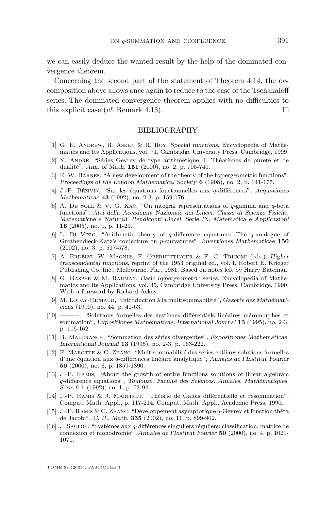<span id="page-45-0"></span>we can easily deduce the wanted result by the help of the dominated convergence theorem.

Concerning the second part of the statement of Theorem [4.14,](#page-39-0) the decomposition above allows once again to reduce to the case of the Tschakaloff series. The dominated convergence theorem applies with no difficulties to this explicit case (*cf.* Remark [4.13\)](#page-38-0).  $\square$ 

#### BIBLIOGRAPHY

- [1] G. E. Andrew, R. Askey & R. Roy, *Special functions*, Encyclopedia of Mathematics and Its Applications, vol. 71, Cambridge University Press, Cambridge, 1999.
- [2] Y. André, "Séries Gevrey de type arithmétique. I. Théorèmes de pureté et de dualité", *Ann. of Math.* **151** (2000), no. 2, p. 705-740.
- [3] E. W. Barnes, "A new development of the theory of the hypergeometric functions", *Proceedings of the London Mathematical Society* **6** (1908), no. 2, p. 141-177.
- [4] J.-P. Bézivin, "Sur les équations fonctionnelles aux q-différences", *Aequationes Mathematicae* **43** (1992), no. 2-3, p. 159-176.
- [5] A. DE SOLE & V. G. KAC, "On integral representations of  $q$ -gamma and  $q$ -beta functions", *Atti della Accademia Nazionale dei Lincei. Classe di Scienze Fisiche, Matematiche e Naturali. Rendiconti Lincei. Serie IX. Matematica e Applicazioni* **16** (2005), no. 1, p. 11-29.
- [6] L. Di Vizio, "Arithmetic theory of  $q$ -difference equations. The  $q$ -analogue of Grothendieck-Katz's conjecture on p-curvatures", *Inventiones Mathematicae* **150** (2002), no. 3, p. 517-578.
- [7] A. Erdélyi, W. Magnus, F. Oberhettinger & F. G. Tricomi (eds.), *Higher transcendental functions*, reprint of the 1953 original ed., vol. I, Robert E. Krieger Publishing Co. Inc., Melbourne, Fla., 1981, Based on notes left by Harry Bateman.
- [8] G. Gasper & M. Rahman, *Basic hypergeometric series*, Encyclopedia of Mathematics and its Applications, vol. 35, Cambridge University Press, Cambridge, 1990, With a foreword by Richard Askey.
- [9] M. Loday-Richaud, "Introduction à la multisommabilité", *Gazette des Mathématiciens* (1990), no. 44, p. 41-63.
- [10] ——— , "Solutions formelles des systèmes différentiels linéaires méromorphes et sommation", *Expositiones Mathematicae. International Journal* **13** (1995), no. 2-3, p. 116-162.
- [11] B. Malgrange, "Sommation des séries divergentes", *Expositiones Mathematicae. International Journal* **13** (1995), no. 2-3, p. 163-222.
- [12] F. MAROTTE & C. ZHANG, "Multisommabilité des séries entières solutions formelles d'une équation aux q-différences linéaire analytique", *Annales de l'Institut Fourier* **50** (2000), no. 6, p. 1859-1890.
- [13] J.-P. Ramis, "About the growth of entire functions solutions of linear algebraic q-difference equations", *Toulouse. Faculté des Sciences. Annales. Mathématiques. Série 6* **1** (1992), no. 1, p. 53-94.
- [14] J.-P. Ramis & J. Martinet, "Théorie de Galois différentielle et resommation", Comput. Math. Appl., p. 117-214, Comput. Math. Appl., Academic Press, 1990.
- [15] J.-P. Ramis & C. Zhang, "Développement asymptotique q-Gevrey et fonction thêta de Jacobi", *C. R., Math.* **335** (2002), no. 11, p. 899-902.
- [16] J. Sauloy, "Systèmes aux q-différences singuliers réguliers: classification, matrice de connexion et monodromie", *Annales de l'Institut Fourier* **50** (2000), no. 4, p. 1021- 1071.